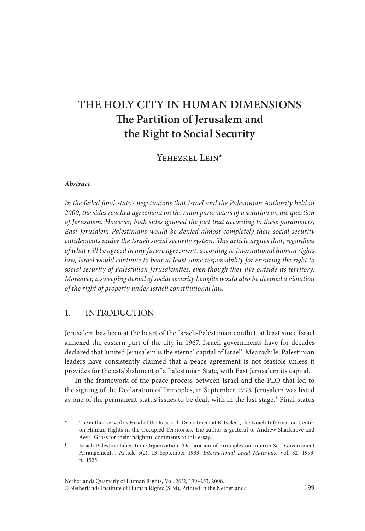# **The Holy City in Human Dimensions The Partition of Jerusalem and the Right to Social Security**

YEHEZKEL LEIN<sup>\*</sup>

### *Abstract*

*In the failed final-status negotiations that Israel and the Palestinian Authority held in 2000, the sides reached agreement on the main parameters of a solution on the question of Jerusalem. However, both sides ignored the fact that according to these parameters, East Jerusalem Palestinians would be denied almost completely their social security entitlements under the Israeli social security system. This article argues that, regardless of what will be agreed in any future agreement, according to international human rights*  law, Israel would continue to bear at least some responsibility for ensuring the right to *social security of Palestinian Jerusalemites, even though they live outside its territory. Moreover, a sweeping denial of social security benefits would also be deemed a violation of the right of property under Israeli constitutional law.*

# 1. Introduction

Jerusalem has been at the heart of the Israeli-Palestinian conflict, at least since Israel annexed the eastern part of the city in 1967. Israeli governments have for decades declared that 'united Jerusalem is the eternal capital of Israel'. Meanwhile, Palestinian leaders have consistently claimed that a peace agreement is not feasible unless it provides for the establishment of a Palestinian State, with East Jerusalem its capital.

In the framework of the peace process between Israel and the PLO that led to the signing of the Declaration of Principles, in September 1993, Jerusalem was listed as one of the permanent-status issues to be dealt with in the last stage.<sup>1</sup> Final-status

<sup>\*</sup> The author served as Head of the Research Department at B'Tselem, the Israeli Information Center on Human Rights in the Occupied Territories. The author is grateful to Andrew Shacknove and Aeyal Gross for their insightful comments to this essay.

<sup>1</sup> Israeli-Palestine Liberation Organization, 'Declaration of Principles on Interim Self-Government Arrangements', Article 5(2), 13 September 1993, *International Legal Materials*, Vol. 32, 1993, p. 1525.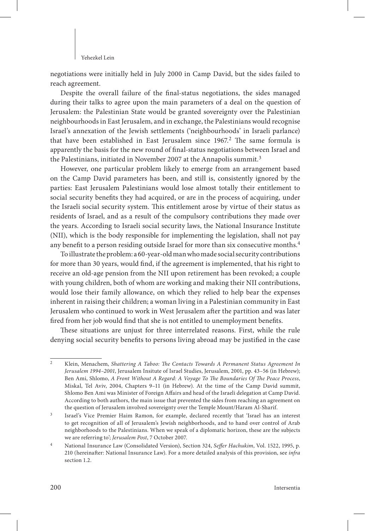negotiations were initially held in July 2000 in Camp David, but the sides failed to reach agreement.

Despite the overall failure of the final-status negotiations, the sides managed during their talks to agree upon the main parameters of a deal on the question of Jerusalem: the Palestinian State would be granted sovereignty over the Palestinian neighbourhoods in East Jerusalem, and in exchange, the Palestinians would recognise Israel's annexation of the Jewish settlements ('neighbourhoods' in Israeli parlance) that have been established in East Jerusalem since 1967.<sup>2</sup> The same formula is apparently the basis for the new round of final-status negotiations between Israel and the Palestinians, initiated in November 2007 at the Annapolis summit.<sup>3</sup>

However, one particular problem likely to emerge from an arrangement based on the Camp David parameters has been, and still is, consistently ignored by the parties: East Jerusalem Palestinians would lose almost totally their entitlement to social security benefits they had acquired, or are in the process of acquiring, under the Israeli social security system. This entitlement arose by virtue of their status as residents of Israel, and as a result of the compulsory contributions they made over the years. According to Israeli social security laws, the National Insurance Institute (NII), which is the body responsible for implementing the legislation, shall not pay any benefit to a person residing outside Israel for more than six consecutive months.<sup>4</sup>

To illustrate the problem: a 60-year-old man who made social security contributions for more than 30 years, would find, if the agreement is implemented, that his right to receive an old-age pension from the NII upon retirement has been revoked; a couple with young children, both of whom are working and making their NII contributions, would lose their family allowance, on which they relied to help bear the expenses inherent in raising their children; a woman living in a Palestinian community in East Jerusalem who continued to work in West Jerusalem after the partition and was later fired from her job would find that she is not entitled to unemployment benefits.

These situations are unjust for three interrelated reasons. First, while the rule denying social security benefits to persons living abroad may be justified in the case

<sup>2</sup> Klein, Menachem, *Shattering A Taboo: The Contacts Towards A Permanent Status Agreement In Jerusalem 1994–2001*, Jerusalem Insitute of Israel Studies, Jerusalem, 2001, pp. 43–56 (in Hebrew); Ben Ami, Shlomo, *A Front Without A Regard: A Voyage To The Boundaries Of The Peace Process*, Miskal, Tel Aviv, 2004, Chapters 9–11 (in Hebrew). At the time of the Camp David summit, Shlomo Ben Ami was Minister of Foreign Affairs and head of the Israeli delegation at Camp David. According to both authors, the main issue that prevented the sides from reaching an agreement on the question of Jerusalem involved sovereignty over the Temple Mount/Haram Al-Sharif.

<sup>&</sup>lt;sup>3</sup> Israel's Vice Premier Haim Ramon, for example, declared recently that 'Israel has an interest to get recognition of all of Jerusalem's Jewish neighborhoods, and to hand over control of Arab neighborhoods to the Palestinians. When we speak of a diplomatic horizon, these are the subjects we are referring to'; *Jerusalem Post*, 7 October 2007.

<sup>4</sup> National Insurance Law (Consolidated Version), Section 324, *Seffer Hachukim*, Vol. 1522, 1995, p. 210 (hereinafter: National Insurance Law). For a more detailed analysis of this provision, see *infra* section 1.2.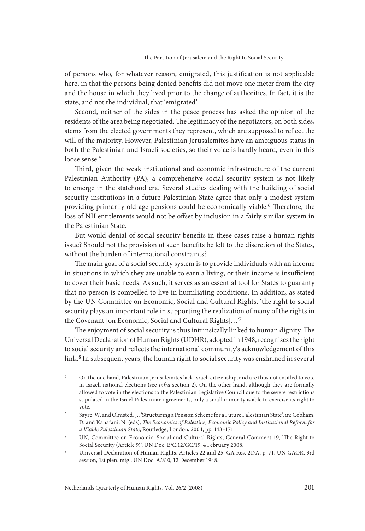of persons who, for whatever reason, emigrated, this justification is not applicable here, in that the persons being denied benefits did not move one meter from the city and the house in which they lived prior to the change of authorities. In fact, it is the state, and not the individual, that 'emigrated'.

Second, neither of the sides in the peace process has asked the opinion of the residents of the area being negotiated. The legitimacy of the negotiators, on both sides, stems from the elected governments they represent, which are supposed to reflect the will of the majority. However, Palestinian Jerusalemites have an ambiguous status in both the Palestinian and Israeli societies, so their voice is hardly heard, even in this loose sense.<sup>5</sup>

Third, given the weak institutional and economic infrastructure of the current Palestinian Authority (PA), a comprehensive social security system is not likely to emerge in the statehood era. Several studies dealing with the building of social security institutions in a future Palestinian State agree that only a modest system providing primarily old-age pensions could be economically viable.6 Therefore, the loss of NII entitlements would not be offset by inclusion in a fairly similar system in the Palestinian State.

But would denial of social security benefits in these cases raise a human rights issue? Should not the provision of such benefits be left to the discretion of the States, without the burden of international constraints?

The main goal of a social security system is to provide individuals with an income in situations in which they are unable to earn a living, or their income is insufficient to cover their basic needs. As such, it serves as an essential tool for States to guaranty that no person is compelled to live in humiliating conditions. In addition, as stated by the UN Committee on Economic, Social and Cultural Rights, 'the right to social security plays an important role in supporting the realization of many of the rights in the Covenant [on Economic, Social and Cultural Rights]…'<sup>7</sup>

The enjoyment of social security is thus intrinsically linked to human dignity. The Universal Declaration of Human Rights (UDHR), adopted in 1948, recognises the right to social security and reflects the international community's acknowledgement of this link.<sup>8</sup> In subsequent years, the human right to social security was enshrined in several

<sup>5</sup> On the one hand, Palestinian Jerusalemites lack Israeli citizenship, and are thus not entitled to vote in Israeli national elections (see *infra* section 2). On the other hand, although they are formally allowed to vote in the elections to the Palestinian Legislative Council due to the severe restrictions stipulated in the Israel-Palestinian agreements, only a small minority is able to exercise its right to vote.

<sup>6</sup> Sayre, W. and Olmsted, J., 'Structuring a Pension Scheme for a Future Palestinian State', in: Cobham, D. and Kanafani, N. (eds), *The Economics of Palestine; Economic Policy and Institutional Reform for a Viable Palestinian State*, Routledge, London, 2004, pp. 143–171.

<sup>7</sup> UN, Committee on Economic, Social and Cultural Rights, General Comment 19, 'The Right to Social Security (Article 9)', UN Doc. E/C.12/GC/19, 4 February 2008.

<sup>8</sup> Universal Declaration of Human Rights, Articles 22 and 25, GA Res. 217A, p. 71, UN GAOR, 3rd session, 1st plen. mtg., UN Doc. A/810, 12 December 1948.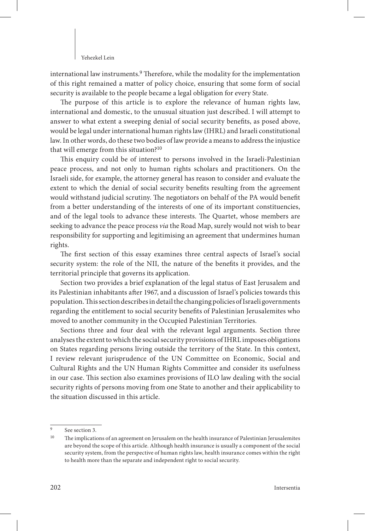international law instruments.9 Therefore, while the modality for the implementation of this right remained a matter of policy choice, ensuring that some form of social security is available to the people became a legal obligation for every State.

The purpose of this article is to explore the relevance of human rights law, international and domestic, to the unusual situation just described. I will attempt to answer to what extent a sweeping denial of social security benefits, as posed above, would be legal under international human rights law (IHRL) and Israeli constitutional law. In other words, do these two bodies of law provide a means to address the injustice that will emerge from this situation?10

This enquiry could be of interest to persons involved in the Israeli-Palestinian peace process, and not only to human rights scholars and practitioners. On the Israeli side, for example, the attorney general has reason to consider and evaluate the extent to which the denial of social security benefits resulting from the agreement would withstand judicial scrutiny. The negotiators on behalf of the PA would benefit from a better understanding of the interests of one of its important constituencies, and of the legal tools to advance these interests. The Quartet, whose members are seeking to advance the peace process *via* the Road Map, surely would not wish to bear responsibility for supporting and legitimising an agreement that undermines human rights.

The first section of this essay examines three central aspects of Israel's social security system: the role of the NII, the nature of the benefits it provides, and the territorial principle that governs its application.

Section two provides a brief explanation of the legal status of East Jerusalem and its Palestinian inhabitants after 1967, and a discussion of Israel's policies towards this population. This section describes in detail the changing policies of Israeli governments regarding the entitlement to social security benefits of Palestinian Jerusalemites who moved to another community in the Occupied Palestinian Territories.

Sections three and four deal with the relevant legal arguments. Section three analyses the extent to which the social security provisions of IHRL imposes obligations on States regarding persons living outside the territory of the State. In this context, I review relevant jurisprudence of the UN Committee on Economic, Social and Cultural Rights and the UN Human Rights Committee and consider its usefulness in our case. This section also examines provisions of ILO law dealing with the social security rights of persons moving from one State to another and their applicability to the situation discussed in this article.

<sup>9</sup> See section 3.

The implications of an agreement on Jerusalem on the health insurance of Palestinian Jerusalemites are beyond the scope of this article. Although health insurance is usually a component of the social security system, from the perspective of human rights law, health insurance comes within the right to health more than the separate and independent right to social security.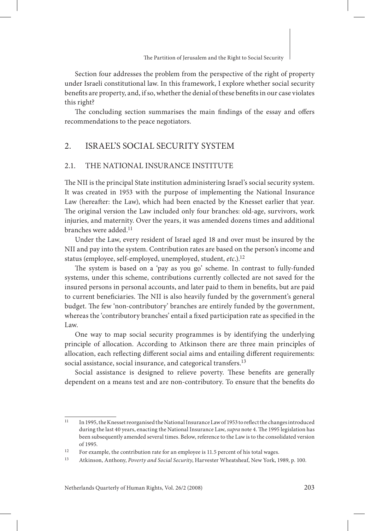Section four addresses the problem from the perspective of the right of property under Israeli constitutional law. In this framework, I explore whether social security benefits are property, and, if so, whether the denial of these benefits in our case violates this right?

The concluding section summarises the main findings of the essay and offers recommendations to the peace negotiators.

### 2. Israel's Social Security System

### 2.1. The National Insurance Institute

The NII is the principal State institution administering Israel's social security system. It was created in 1953 with the purpose of implementing the National Insurance Law (hereafter: the Law), which had been enacted by the Knesset earlier that year. The original version the Law included only four branches: old-age, survivors, work injuries, and maternity. Over the years, it was amended dozens times and additional branches were added.<sup>11</sup>

Under the Law, every resident of Israel aged 18 and over must be insured by the NII and pay into the system. Contribution rates are based on the person's income and status (employee, self-employed, unemployed, student, *etc*.).12

The system is based on a 'pay as you go' scheme. In contrast to fully-funded systems, under this scheme, contributions currently collected are not saved for the insured persons in personal accounts, and later paid to them in benefits, but are paid to current beneficiaries. The NII is also heavily funded by the government's general budget. The few 'non-contributory' branches are entirely funded by the government, whereas the 'contributory branches' entail a fixed participation rate as specified in the Law.

One way to map social security programmes is by identifying the underlying principle of allocation. According to Atkinson there are three main principles of allocation, each reflecting different social aims and entailing different requirements: social assistance, social insurance, and categorical transfers.13

Social assistance is designed to relieve poverty. These benefits are generally dependent on a means test and are non-contributory. To ensure that the benefits do

<sup>11</sup> In 1995, the Knesset reorganised the National Insurance Law of 1953 to reflect the changes introduced during the last 40 years, enacting the National Insurance Law, *supra* note 4. The 1995 legislation has been subsequently amended several times. Below, reference to the Law is to the consolidated version of 1995.

<sup>&</sup>lt;sup>12</sup> For example, the contribution rate for an employee is 11.5 percent of his total wages.

<sup>13</sup> Atkinson, Anthony, *Poverty and Social Security*, Harvester Wheatsheaf, New York, 1989, p. 100.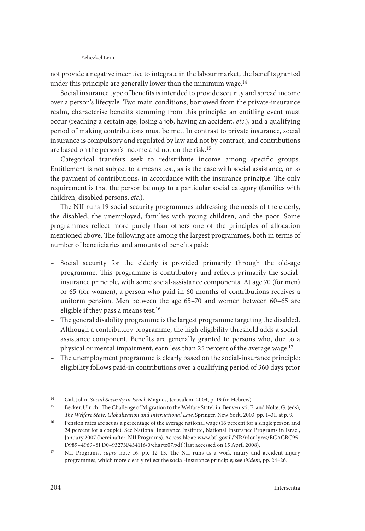not provide a negative incentive to integrate in the labour market, the benefits granted under this principle are generally lower than the minimum wage.<sup>14</sup>

Social insurance type of benefits is intended to provide security and spread income over a person's lifecycle. Two main conditions, borrowed from the private-insurance realm, characterise benefits stemming from this principle: an entitling event must occur (reaching a certain age, losing a job, having an accident, *etc*.), and a qualifying period of making contributions must be met. In contrast to private insurance, social insurance is compulsory and regulated by law and not by contract, and contributions are based on the person's income and not on the risk.15

Categorical transfers seek to redistribute income among specific groups. Entitlement is not subject to a means test, as is the case with social assistance, or to the payment of contributions, in accordance with the insurance principle. The only requirement is that the person belongs to a particular social category (families with children, disabled persons, *etc*.).

The NII runs 19 social security programmes addressing the needs of the elderly, the disabled, the unemployed, families with young children, and the poor. Some programmes reflect more purely than others one of the principles of allocation mentioned above. The following are among the largest programmes, both in terms of number of beneficiaries and amounts of benefits paid:

- Social security for the elderly is provided primarily through the old-age programme. This programme is contributory and reflects primarily the socialinsurance principle, with some social-assistance components. At age 70 (for men) or 65 (for women), a person who paid in 60 months of contributions receives a uniform pension. Men between the age 65–70 and women between 60–65 are eligible if they pass a means test.<sup>16</sup>
- The general disability programme is the largest programme targeting the disabled. Although a contributory programme, the high eligibility threshold adds a socialassistance component. Benefits are generally granted to persons who, due to a physical or mental impairment, earn less than 25 percent of the average wage.<sup>17</sup>
- The unemployment programme is clearly based on the social-insurance principle: eligibility follows paid-in contributions over a qualifying period of 360 days prior

<sup>14</sup> Gal, John, *Social Security in Israel*, Magnes, Jerusalem, 2004, p. 19 (in Hebrew).

<sup>15</sup> Becker, Ulrich, 'The Challenge of Migration to the Welfare State', in: Benvenisti, E. and Nolte, G. (eds), *The Welfare State, Globalization and International Law*, Springer, New York, 2003, pp. 1–31, at p. 9.

<sup>16</sup> Pension rates are set as a percentage of the average national wage (16 percent for a single person and 24 percent for a couple). See National Insurance Institute, National Insurance Programs in Israel, January 2007 (hereinafter: NII Programs). Accessible at: www.btl.gov.il/NR/rdonlyres/BCACBC95- D989–4969–8FD0–93273F434116/0/charte07.pdf (last accessed on 15 April 2008).

<sup>17</sup> NII Programs, *supra* note 16, pp. 12–13. The NII runs as a work injury and accident injury programmes, which more clearly reflect the social-insurance principle; see *ibidem*, pp. 24–26.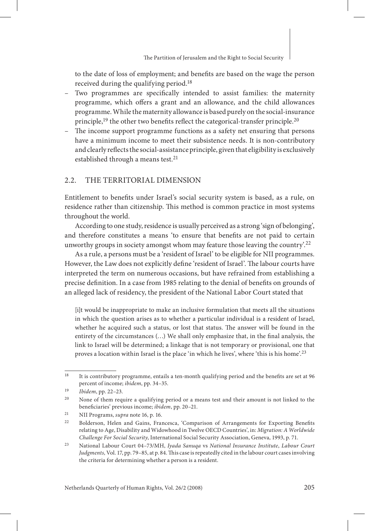to the date of loss of employment; and benefits are based on the wage the person received during the qualifying period.18

- Two programmes are specifically intended to assist families: the maternity programme, which offers a grant and an allowance, and the child allowances programme. While the maternity allowance is based purely on the social-insurance principle,<sup>19</sup> the other two benefits reflect the categorical-transfer principle.<sup>20</sup>
- The income support programme functions as a safety net ensuring that persons have a minimum income to meet their subsistence needs. It is non-contributory and clearly reflects the social-assistance principle, given that eligibility is exclusively established through a means test.<sup>21</sup>

### 2.2. The territorial DIMENSION

Entitlement to benefits under Israel's social security system is based, as a rule, on residence rather than citizenship. This method is common practice in most systems throughout the world.

According to one study, residence is usually perceived as a strong 'sign of belonging', and therefore constitutes a means 'to ensure that benefits are not paid to certain unworthy groups in society amongst whom may feature those leaving the country'.<sup>22</sup>

As a rule, a persons must be a 'resident of Israel' to be eligible for NII programmes. However, the Law does not explicitly define 'resident of Israel'. The labour courts have interpreted the term on numerous occasions, but have refrained from establishing a precise definition. In a case from 1985 relating to the denial of benefits on grounds of an alleged lack of residency, the president of the National Labor Court stated that

[i]t would be inappropriate to make an inclusive formulation that meets all the situations in which the question arises as to whether a particular individual is a resident of Israel, whether he acquired such a status, or lost that status. The answer will be found in the entirety of the circumstances (…) We shall only emphasize that, in the final analysis, the link to Israel will be determined; a linkage that is not temporary or provisional, one that proves a location within Israel is the place 'in which he lives', where 'this is his home'.<sup>23</sup>

<sup>&</sup>lt;sup>18</sup> It is contributory programme, entails a ten-month qualifying period and the benefits are set at 96 percent of income; *ibidem*, pp. 34–35.

<sup>19</sup> *Ibidem*, pp. 22–23.

None of them require a qualifying period or a means test and their amount is not linked to the beneficiaries' previous income; *ibidem*, pp. 20–21.

<sup>21</sup> NII Programs, *supra* note 16, p. 16.

<sup>22</sup> Bolderson, Helen and Gains, Francesca, 'Comparison of Arrangements for Exporting Benefits relating to Age, Disability and Widowhood in Twelve OECD Countries', in: *Migration: A Worldwide Challenge For Social Security*, International Social Security Association, Geneva, 1993, p. 71.

<sup>23</sup> National Labour Court 04–73/MH, *Iyada Sanuqa* vs *National Insurance Institute*, *Labour Court Judgments,* Vol. 17, pp. 79–85, at p. 84. This case is repeatedly cited in the labour court cases involving the criteria for determining whether a person is a resident.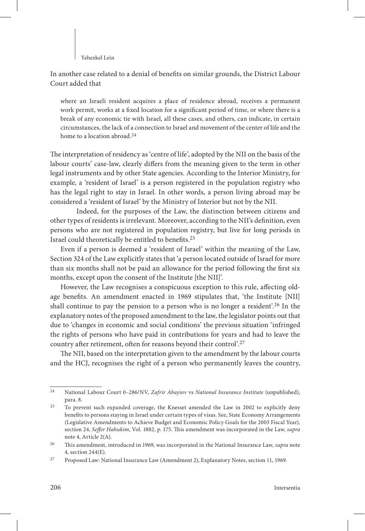In another case related to a denial of benefits on similar grounds, the District Labour Court added that

where an Israeli resident acquires a place of residence abroad, receives a permanent work permit, works at a fixed location for a significant period of time, or where there is a break of any economic tie with Israel, all these cases, and others, can indicate, in certain circumstances, the lack of a connection to Israel and movement of the center of life and the home to a location abroad.<sup>24</sup>

The interpretation of residency as 'centre of life', adopted by the NII on the basis of the labour courts' case-law, clearly differs from the meaning given to the term in other legal instruments and by other State agencies. According to the Interior Ministry, for example, a 'resident of Israel' is a person registered in the population registry who has the legal right to stay in Israel. In other words, a person living abroad may be considered a 'resident of Israel' by the Ministry of Interior but not by the NII.

Indeed, for the purposes of the Law, the distinction between citizens and other types of residents is irrelevant. Moreover, according to the NII's definition, even persons who are not registered in population registry, but live for long periods in Israel could theoretically be entitled to benefits.<sup>25</sup>

Even if a person is deemed a 'resident of Israel' within the meaning of the Law, Section 324 of the Law explicitly states that 'a person located outside of Israel for more than six months shall not be paid an allowance for the period following the first six months, except upon the consent of the Institute [the NII]'.

However, the Law recognises a conspicuous exception to this rule, affecting oldage benefits. An amendment enacted in 1969 stipulates that, 'the Institute [NII] shall continue to pay the pension to a person who is no longer a resident'.<sup>26</sup> In the explanatory notes of the proposed amendment to the law, the legislator points out that due to 'changes in economic and social conditions' the previous situation 'infringed the rights of persons who have paid in contributions for years and had to leave the country after retirement, often for reasons beyond their control'.<sup>27</sup>

The NII, based on the interpretation given to the amendment by the labour courts and the HCJ, recognises the right of a person who permanently leaves the country,

<sup>24</sup> National Labour Court 0–286/NV, *Zafrir Abayiov* vs *National Insurance Institute* (unpublished), para. 8.

<sup>&</sup>lt;sup>25</sup> To prevent such expanded coverage, the Knesset amended the Law in 2002 to explicitly deny benefits to persons staying in Israel under certain types of visas. See, State Economy Arrangements (Legislative Amendments to Achieve Budget and Economic Policy Goals for the 2003 Fiscal Year), section 24, *Seffer Hahukim*, Vol. 1882, p. 175. This amendment was incorporated in the Law, *supra* note 4, Article 2(A).

<sup>26</sup> This amendment, introduced in 1969, was incorporated in the National Insurance Law, *supra* note 4, section 244(E).

<sup>27</sup> Proposed Law: National Insurance Law (Amendment 2), Explanatory Notes, section 11, 1969.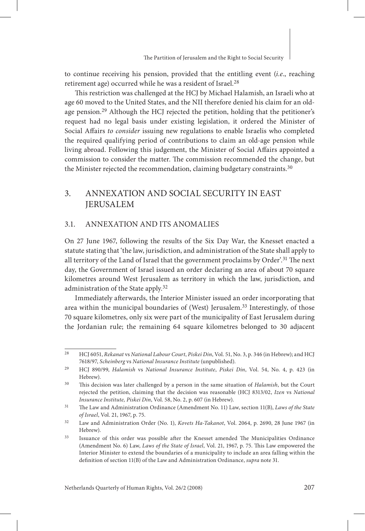to continue receiving his pension, provided that the entitling event (*i.e*., reaching retirement age) occurred while he was a resident of Israel.<sup>28</sup>

This restriction was challenged at the HCJ by Michael Halamish, an Israeli who at age 60 moved to the United States, and the NII therefore denied his claim for an oldage pension.29 Although the HCJ rejected the petition, holding that the petitioner's request had no legal basis under existing legislation, it ordered the Minister of Social Affairs *to consider* issuing new regulations to enable Israelis who completed the required qualifying period of contributions to claim an old-age pension while living abroad. Following this judgement, the Minister of Social Affairs appointed a commission to consider the matter. The commission recommended the change, but the Minister rejected the recommendation, claiming budgetary constraints.<sup>30</sup>

# 3. annexation and social security in east jerusalem

### 3.1. Annexation and its anomalies

On 27 June 1967, following the results of the Six Day War, the Knesset enacted a statute stating that 'the law, jurisdiction, and administration of the State shall apply to all territory of the Land of Israel that the government proclaims by Order'.31 The next day, the Government of Israel issued an order declaring an area of about 70 square kilometres around West Jerusalem as territory in which the law, jurisdiction, and administration of the State apply.<sup>32</sup>

Immediately afterwards, the Interior Minister issued an order incorporating that area within the municipal boundaries of (West) Jerusalem.<sup>33</sup> Interestingly, of those 70 square kilometres, only six were part of the municipality of East Jerusalem during the Jordanian rule; the remaining 64 square kilometres belonged to 30 adjacent

<sup>28</sup> HCJ 6051, *Rekanat* vs *National Labour Court*, *Piskei Din*, Vol. 51, No. 3, p. 346 (in Hebrew); and HCJ 7618/97, *Scheinberg* vs *National Insurance Institute* (unpublished).

<sup>29</sup> HCJ 890/99, *Halamish* vs *National Insurance Institute*, *Piskei Din*, Vol. 54, No. 4, p. 423 (in Hebrew).

<sup>30</sup> This decision was later challenged by a person in the same situation of *Halamish*, but the Court rejected the petition, claiming that the decision was reasonable (HCJ 8313/02, *Izen* vs *National Insurance Institute, Piskei Din*, Vol. 58, No. 2, p. 607 (in Hebrew).

<sup>31</sup> The Law and Administration Ordinance (Amendment No. 11) Law, section 11(B), *Laws of the State of Israel*, Vol. 21, 1967, p. 75.

<sup>32</sup> Law and Administration Order (No. 1), *Kovets Ha-Takanot*, Vol. 2064, p. 2690, 28 June 1967 (in Hebrew).

<sup>33</sup> Issuance of this order was possible after the Knesset amended The Municipalities Ordinance (Amendment No. 6) Law, *Laws of the State of Israel*, Vol. 21, 1967, p. 75. This Law empowered the Interior Minister to extend the boundaries of a municipality to include an area falling within the definition of section 11(B) of the Law and Administration Ordinance, *supra* note 31.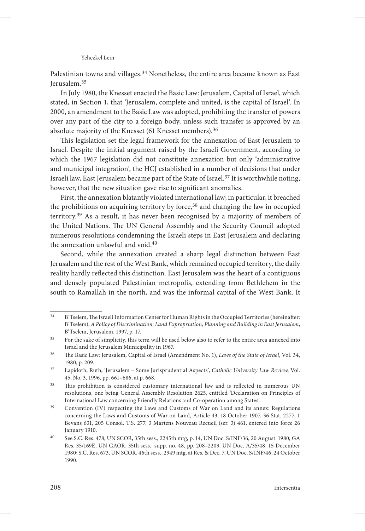Palestinian towns and villages.<sup>34</sup> Nonetheless, the entire area became known as East Jerusalem.<sup>35</sup>

In July 1980, the Knesset enacted the Basic Law: Jerusalem, Capital of Israel, which stated, in Section 1, that 'Jerusalem, complete and united, is the capital of Israel'. In 2000, an amendment to the Basic Law was adopted, prohibiting the transfer of powers over any part of the city to a foreign body, unless such transfer is approved by an absolute majority of the Knesset (61 Knesset members).<sup>36</sup>

This legislation set the legal framework for the annexation of East Jerusalem to Israel. Despite the initial argument raised by the Israeli Government, according to which the 1967 legislation did not constitute annexation but only 'administrative and municipal integration', the HCJ established in a number of decisions that under Israeli law, East Jerusalem became part of the State of Israel.37 It is worthwhile noting, however, that the new situation gave rise to significant anomalies.

First, the annexation blatantly violated international law; in particular, it breached the prohibitions on acquiring territory by force,<sup>38</sup> and changing the law in occupied territory.39 As a result, it has never been recognised by a majority of members of the United Nations. The UN General Assembly and the Security Council adopted numerous resolutions condemning the Israeli steps in East Jerusalem and declaring the annexation unlawful and void.40

Second, while the annexation created a sharp legal distinction between East Jerusalem and the rest of the West Bank, which remained occupied territory, the daily reality hardly reflected this distinction. East Jerusalem was the heart of a contiguous and densely populated Palestinian metropolis, extending from Bethlehem in the south to Ramallah in the north, and was the informal capital of the West Bank. It

<sup>34</sup> B'Tselem, The Israeli Information Center for Human Rights in the Occupied Territories (hereinafter: B'Tselem), *A Policy of Discrimination: Land Expropriation, Planning and Building in East Jerusalem*, B'Tselem, Jerusalem, 1997, p. 17.

<sup>&</sup>lt;sup>35</sup> For the sake of simplicity, this term will be used below also to refer to the entire area annexed into Israel and the Jerusalem Municipality in 1967.

<sup>36</sup> The Basic Law: Jerusalem, Capital of Israel (Amendment No. 1), *Laws of the State of Israel*, Vol. 34, 1980, p. 209.

<sup>37</sup> Lapidoth, Ruth, 'Jerusalem – Some Jurisprudential Aspects', *Catholic University Law Review*, Vol. 45, No. 3, 1996, pp. 661–686, at p. 668.

<sup>&</sup>lt;sup>38</sup> This prohibition is considered customary international law and is reflected in numerous UN resolutions, one being General Assembly Resolution 2625, entitled 'Declaration on Principles of International Law concerning Friendly Relations and Co-operation among States'.

<sup>39</sup> Convention (IV) respecting the Laws and Customs of War on Land and its annex: Regulations concerning the Laws and Customs of War on Land, Article 43, 18 October 1907, 36 Stat. 2277, 1 Bevans 631, 205 Consol. T.S. 277, 3 Martens Nouveau Recueil (ser. 3) 461, entered into force 26 January 1910.

<sup>40</sup> See S.C. Res. 478, UN SCOR, 35th sess., 2245th mtg, p. 14, UN Doc. S/INF/36, 20 August 1980; GA Res. 35/169E, UN GAOR, 35th sess., supp. no. 48, pp. 208–2209, UN Doc. A/35/48, 15 December 1980; S.C. Res. 673, UN SCOR, 46th sess., 2949 mtg. at Res. & Dec. 7, UN Doc. S/INF/46, 24 October 1990.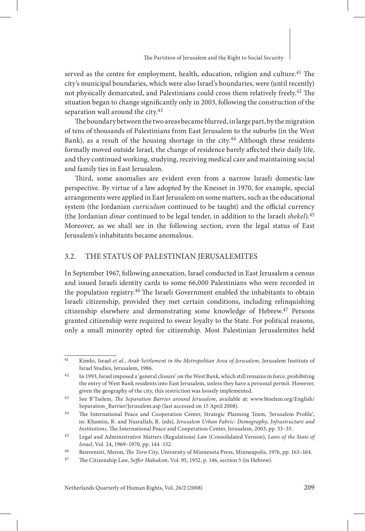served as the centre for employment, health, education, religion and culture.<sup>41</sup> The city's municipal boundaries, which were also Israel's boundaries, were (until recently) not physically demarcated, and Palestinians could cross them relatively freely.42 The situation began to change significantly only in 2003, following the construction of the separation wall around the city.<sup>43</sup>

The boundary between the two areas became blurred, in large part, by the migration of tens of thousands of Palestinians from East Jerusalem to the suburbs (in the West Bank), as a result of the housing shortage in the city.<sup>44</sup> Although these residents formally moved outside Israel, the change of residence barely affected their daily life, and they continued working, studying, receiving medical care and maintaining social and family ties in East Jerusalem.

Third, some anomalies are evident even from a narrow Israeli domestic-law perspective. By virtue of a law adopted by the Knesset in 1970, for example, special arrangements were applied in East Jerusalem on some matters, such as the educational system (the Jordanian *curriculum* continued to be taught) and the official currency (the Jordanian *dinar* continued to be legal tender, in addition to the Israeli *shekel*).45 Moreover, as we shall see in the following section, even the legal status of East Jerusalem's inhabitants became anomalous.

### 3.2. The Status of Palestinian Jerusalemites

In September 1967, following annexation, Israel conducted in East Jerusalem a census and issued Israeli identity cards to some 66,000 Palestinians who were recorded in the population registry.46 The Israeli Government enabled the inhabitants to obtain Israeli citizenship, provided they met certain conditions, including relinquishing citizenship elsewhere and demonstrating some knowledge of Hebrew.47 Persons granted citizenship were required to swear loyalty to the State. For political reasons, only a small minority opted for citizenship. Most Palestinian Jerusalemites held

<sup>41</sup> Kimhi, Israel *et al*., *Arab Settlement in the Metropolitan Area of Jerusalem,* Jerusalem Institute of Israel Studies, Jerusalem, 1986.

<sup>42</sup> In 1993, Israel imposed a 'general closure' on the West Bank, which still remains in force, prohibiting the entry of West Bank residents into East Jerusalem, unless they have a personal permit. However, given the geography of the city, this restriction was loosely implemented.

<sup>43</sup> See B'Tselem, *The Separation Barrier around Jerusalem*, available at: www.btselem.org/English/ Separation\_Barrier/Jerusalem.asp (last accessed on 15 April 2008).

<sup>44</sup> The International Peace and Cooperation Center, Strategic Planning Team, 'Jerusalem Profile', in: Khamisi, R. and Nasrallah, R. (eds), *Jerusalem Urban Fabric: Demography, Infrastructure and Institutions*, The International Peace and Cooperation Center, Jerusalem, 2003, pp. 33–35.

<sup>45</sup> Legal and Administrative Matters (Regulations) Law (Consolidated Version), *Laws of the State of Israel*, Vol. 24, 1969–1970, pp. 144 -152.

<sup>46</sup> Benvenisti, Meron, *The Torn City*, University of Minnesota Press, Minneapolis, 1976, pp. 163–164.

<sup>47</sup> The Citizenship Law, *Seffer Hahukim*, Vol. 95, 1952, p. 146, section 5 (in Hebrew).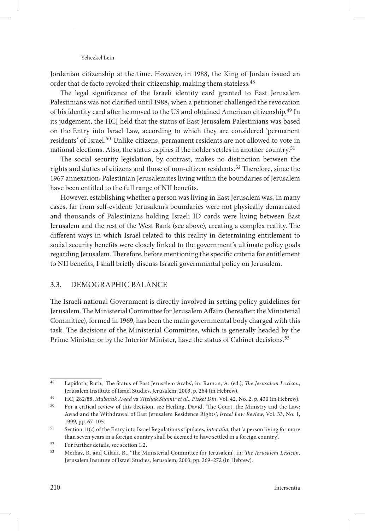Jordanian citizenship at the time. However, in 1988, the King of Jordan issued an order that de facto revoked their citizenship, making them stateless.<sup>48</sup>

The legal significance of the Israeli identity card granted to East Jerusalem Palestinians was not clarified until 1988, when a petitioner challenged the revocation of his identity card after he moved to the US and obtained American citizenship.49 In its judgement, the HCJ held that the status of East Jerusalem Palestinians was based on the Entry into Israel Law, according to which they are considered 'permanent residents' of Israel.50 Unlike citizens, permanent residents are not allowed to vote in national elections. Also, the status expires if the holder settles in another country.<sup>51</sup>

The social security legislation, by contrast, makes no distinction between the rights and duties of citizens and those of non-citizen residents.52 Therefore, since the 1967 annexation, Palestinian Jerusalemites living within the boundaries of Jerusalem have been entitled to the full range of NII benefits.

However, establishing whether a person was living in East Jerusalem was, in many cases, far from self-evident: Jerusalem's boundaries were not physically demarcated and thousands of Palestinians holding Israeli ID cards were living between East Jerusalem and the rest of the West Bank (see above), creating a complex reality. The different ways in which Israel related to this reality in determining entitlement to social security benefits were closely linked to the government's ultimate policy goals regarding Jerusalem. Therefore, before mentioning the specific criteria for entitlement to NII benefits, I shall briefly discuss Israeli governmental policy on Jerusalem.

### 3.3. Demographic Balance

The Israeli national Government is directly involved in setting policy guidelines for Jerusalem. The Ministerial Committee for Jerusalem Affairs (hereafter: the Ministerial Committee), formed in 1969, has been the main governmental body charged with this task. The decisions of the Ministerial Committee, which is generally headed by the Prime Minister or by the Interior Minister, have the status of Cabinet decisions.<sup>53</sup>

<sup>48</sup> Lapidoth, Ruth, 'The Status of East Jerusalem Arabs', in: Ramon, A. (ed.), *The Jerusalem Lexicon*, Jerusalem Institute of Israel Studies, Jerusalem, 2003, p. 264 (in Hebrew).

<sup>49</sup> HCJ 282/88, *Mubarak Awad* vs *Yitzhak Shamir et al., Piskei Din*, Vol. 42, No. 2, p. 430 (in Hebrew).

<sup>50</sup> For a critical review of this decision, see Herling, David, 'The Court, the Ministry and the Law: Awad and the Withdrawal of East Jerusalem Residence Rights', *Israel Law Review*, Vol. 33, No. 1, 1999, pp. 67–105.

<sup>51</sup> Section 11(c) of the Entry into Israel Regulations stipulates, *inter alia*, that 'a person living for more than seven years in a foreign country shall be deemed to have settled in a foreign country'.

<sup>52</sup> For further details, see section 1.2.

<sup>53</sup> Merhav, R. and Giladi, R., 'The Ministerial Committee for Jerusalem', in: *The Jerusalem Lexicon*, Jerusalem Institute of Israel Studies, Jerusalem, 2003, pp. 269–272 (in Hebrew).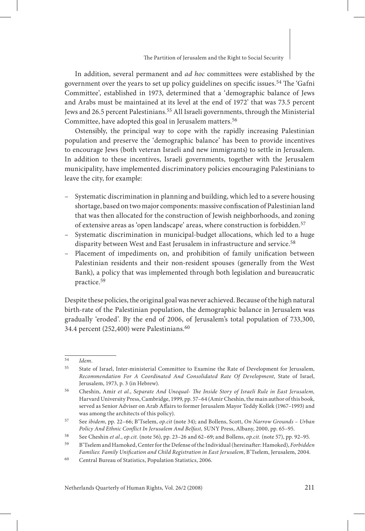In addition, several permanent and *ad hoc* committees were established by the government over the years to set up policy guidelines on specific issues.54 The 'Gafni Committee', established in 1973, determined that a 'demographic balance of Jews and Arabs must be maintained at its level at the end of 1972' that was 73.5 percent Jews and 26.5 percent Palestinians.<sup>55</sup> All Israeli governments, through the Ministerial Committee, have adopted this goal in Jerusalem matters.<sup>56</sup>

Ostensibly, the principal way to cope with the rapidly increasing Palestinian population and preserve the 'demographic balance' has been to provide incentives to encourage Jews (both veteran Israeli and new immigrants) to settle in Jerusalem. In addition to these incentives, Israeli governments, together with the Jerusalem municipality, have implemented discriminatory policies encouraging Palestinians to leave the city, for example:

- Systematic discrimination in planning and building, which led to a severe housing shortage, based on two major components: massive confiscation of Palestinian land that was then allocated for the construction of Jewish neighborhoods, and zoning of extensive areas as 'open landscape' areas, where construction is forbidden.<sup>57</sup>
- Systematic discrimination in municipal-budget allocations, which led to a huge disparity between West and East Jerusalem in infrastructure and service.<sup>58</sup>
- Placement of impediments on, and prohibition of family unification between Palestinian residents and their non-resident spouses (generally from the West Bank), a policy that was implemented through both legislation and bureaucratic practice.<sup>59</sup>

Despite these policies, the original goal was never achieved. Because of the high natural birth-rate of the Palestinian population, the demographic balance in Jerusalem was gradually 'eroded'. By the end of 2006, of Jerusalem's total population of 733,300, 34.4 percent (252,400) were Palestinians.<sup>60</sup>

<sup>54</sup> *Idem*.

<sup>55</sup> State of Israel, Inter-ministerial Committee to Examine the Rate of Development for Jerusalem, *Recommendation For A Coordinated And Consolidated Rate Of Development*, State of Israel, Jerusalem, 1973, p. 3 (in Hebrew).

<sup>56</sup> Cheshin, Amir *et al.*, *Separate And Unequal- The Inside Story of Israeli Rule in East Jerusalem,* Harvard University Press, Cambridge, 1999, pp. 57–64 (Amir Cheshin, the main author of this book, served as Senior Adviser on Arab Affairs to former Jerusalem Mayor Teddy Kollek (1967–1993) and was among the architects of this policy).

<sup>57</sup> See *ibidem*, pp. 22–66; B'Tselem, *op.cit* (note 34); and Bollens, Scott, *On Narrow Grounds – Urban Policy And Ethnic Conflict In Jerusalem And Belfast,* SUNY Press, Albany, 2000, pp. 65–95.

<sup>58</sup> See Cheshin *et al.*, *op.cit.* (note 56), pp. 23–26 and 62–69; and Bollens, *op.cit.* (note 57), pp. 92–95.

<sup>59</sup> B'Tselem and Hamoked, Center for the Defense of the Individual (hereinafter: Hamoked), *Forbidden Families: Family Unification and Child Registration in East Jerusalem*, B'Tselem, Jerusalem, 2004.

<sup>60</sup> Central Bureau of Statistics, Population Statistics, 2006.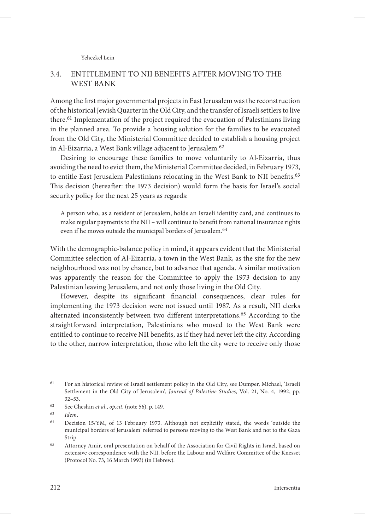### 3.4. Entitlement to NII benefits after moving to the WEST BANK

Among the first major governmental projects in East Jerusalem was the reconstruction of the historical Jewish Quarter in the Old City, and the transfer of Israeli settlers to live there.61 Implementation of the project required the evacuation of Palestinians living in the planned area. To provide a housing solution for the families to be evacuated from the Old City, the Ministerial Committee decided to establish a housing project in Al-Eizarria, a West Bank village adjacent to Jerusalem.<sup>62</sup>

Desiring to encourage these families to move voluntarily to Al-Eizarria, thus avoiding the need to evict them, the Ministerial Committee decided, in February 1973, to entitle East Jerusalem Palestinians relocating in the West Bank to NII benefits.<sup>63</sup> This decision (hereafter: the 1973 decision) would form the basis for Israel's social security policy for the next 25 years as regards:

A person who, as a resident of Jerusalem, holds an Israeli identity card, and continues to make regular payments to the NII – will continue to benefit from national insurance rights even if he moves outside the municipal borders of Jerusalem.<sup>64</sup>

With the demographic-balance policy in mind, it appears evident that the Ministerial Committee selection of Al-Eizarria, a town in the West Bank, as the site for the new neighbourhood was not by chance, but to advance that agenda. A similar motivation was apparently the reason for the Committee to apply the 1973 decision to any Palestinian leaving Jerusalem, and not only those living in the Old City.

However, despite its significant financial consequences, clear rules for implementing the 1973 decision were not issued until 1987. As a result, NII clerks alternated inconsistently between two different interpretations.65 According to the straightforward interpretation, Palestinians who moved to the West Bank were entitled to continue to receive NII benefits, as if they had never left the city. According to the other, narrow interpretation, those who left the city were to receive only those

<sup>61</sup> For an historical review of Israeli settlement policy in the Old City, see Dumper, Michael, 'Israeli Settlement in the Old City of Jerusalem', *Journal of Palestine Studies*, Vol. 21, No. 4, 1992, pp. 32–53.

<sup>62</sup> See Cheshin *et al.*, *op.cit.* (note 56), p. 149.

<sup>63</sup> *Idem*.

<sup>64</sup> Decision 15/YM, of 13 February 1973. Although not explicitly stated, the words 'outside the municipal borders of Jerusalem' referred to persons moving to the West Bank and not to the Gaza Strip.

<sup>65</sup> Attorney Amir, oral presentation on behalf of the Association for Civil Rights in Israel, based on extensive correspondence with the NII, before the Labour and Welfare Committee of the Knesset (Protocol No. 73, 16 March 1993) (in Hebrew).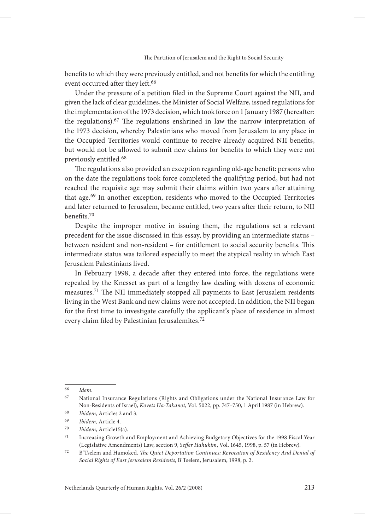benefits to which they were previously entitled, and not benefits for which the entitling event occurred after they left.<sup>66</sup>

Under the pressure of a petition filed in the Supreme Court against the NII, and given the lack of clear guidelines, the Minister of Social Welfare, issued regulations for the implementation of the 1973 decision, which took force on 1 January 1987 (hereafter: the regulations).67 The regulations enshrined in law the narrow interpretation of the 1973 decision, whereby Palestinians who moved from Jerusalem to any place in the Occupied Territories would continue to receive already acquired NII benefits, but would not be allowed to submit new claims for benefits to which they were not previously entitled.<sup>68</sup>

The regulations also provided an exception regarding old-age benefit: persons who on the date the regulations took force completed the qualifying period, but had not reached the requisite age may submit their claims within two years after attaining that age.69 In another exception, residents who moved to the Occupied Territories and later returned to Jerusalem, became entitled, two years after their return, to NII benefits.70

Despite the improper motive in issuing them, the regulations set a relevant precedent for the issue discussed in this essay, by providing an intermediate status – between resident and non-resident – for entitlement to social security benefits. This intermediate status was tailored especially to meet the atypical reality in which East Jerusalem Palestinians lived.

In February 1998, a decade after they entered into force, the regulations were repealed by the Knesset as part of a lengthy law dealing with dozens of economic measures.71 The NII immediately stopped all payments to East Jerusalem residents living in the West Bank and new claims were not accepted. In addition, the NII began for the first time to investigate carefully the applicant's place of residence in almost every claim filed by Palestinian Jerusalemites.72

<sup>66</sup> *Idem*.

<sup>67</sup> National Insurance Regulations (Rights and Obligations under the National Insurance Law for Non-Residents of Israel), *Kovets Ha-Takanot*, Vol. 5022, pp. 747–750, 1 April 1987 (in Hebrew).

<sup>68</sup> *Ibidem*, Articles 2 and 3.

<sup>69</sup> *Ibidem*, Article 4.

<sup>70</sup> *Ibidem*, Article15(a).

<sup>71</sup> Increasing Growth and Employment and Achieving Budgetary Objectives for the 1998 Fiscal Year (Legislative Amendments) Law, section 9, *Seffer Hahukim*, Vol. 1645, 1998, p. 57 (in Hebrew).

<sup>72</sup> B'Tselem and Hamoked, *The Quiet Deportation Continues: Revocation of Residency And Denial of Social Rights of East Jerusalem Residents*, B'Tselem, Jerusalem, 1998, p. 2.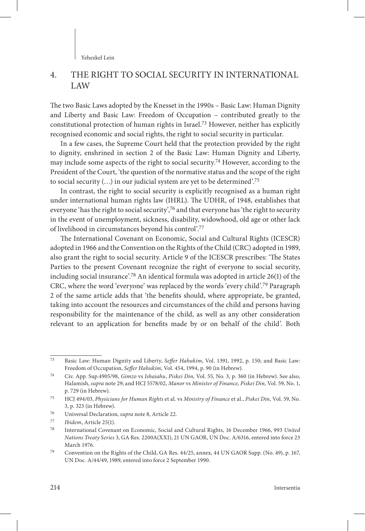# 4. The right to social security in international law

The two Basic Laws adopted by the Knesset in the 1990s – Basic Law: Human Dignity and Liberty and Basic Law: Freedom of Occupation – contributed greatly to the constitutional protection of human rights in Israel.73 However, neither has explicitly recognised economic and social rights, the right to social security in particular.

In a few cases, the Supreme Court held that the protection provided by the right to dignity, enshrined in section 2 of the Basic Law: Human Dignity and Liberty, may include some aspects of the right to social security.74 However, according to the President of the Court, 'the question of the normative status and the scope of the right to social security (…) in our judicial system are yet to be determined'.75

In contrast, the right to social security is explicitly recognised as a human right under international human rights law (IHRL). The UDHR, of 1948, establishes that everyone 'has the right to social security',<sup>76</sup> and that everyone has 'the right to security in the event of unemployment, sickness, disability, widowhood, old age or other lack of livelihood in circumstances beyond his control'.77

The International Covenant on Economic, Social and Cultural Rights (ICESCR) adopted in 1966 and the Convention on the Rights of the Child (CRC) adopted in 1989, also grant the right to social security. Article 9 of the ICESCR prescribes: 'The States Parties to the present Covenant recognize the right of everyone to social security, including social insurance'.78 An identical formula was adopted in article 26(1) of the CRC, where the word 'everyone' was replaced by the words 'every child'.79 Paragraph 2 of the same article adds that 'the benefits should, where appropriate, be granted, taking into account the resources and circumstances of the child and persons having responsibility for the maintenance of the child, as well as any other consideration relevant to an application for benefits made by or on behalf of the child'. Both

<sup>73</sup> Basic Law: Human Dignity and Liberty, *Seffer Hahukim*, Vol. 1391, 1992, p. 150; and Basic Law: Freedom of Occupation, *Seffer Hahukim*, Vol. 454, 1994, p. 90 (in Hebrew).

<sup>74</sup> Civ. App. Sup.4905/98, *Gimzo* vs *Ishaiahu*, *Piskei Din,* Vol. 55, No. 3, p. 360 (in Hebrew). See also, Halamish, *supra* note 29; and HCJ 5578/02, *Manor* vs *Minister of Finance*, *Piskei Din,* Vol. 59, No. 1, p. 729 (in Hebrew).

<sup>75</sup> HCJ 494/03, *Physicians for Human Rights* et al. vs *Ministry of Finance* et al., *Piskei Din,* Vol. 59, No. 3, p. 323 (in Hebrew).

<sup>76</sup> Universal Declaration, *supra* note 8, Article 22.

<sup>77</sup> *Ibidem*, Article 25(1).

<sup>78</sup> International Covenant on Economic, Social and Cultural Rights, 16 December 1966, 993 *United Nations Treaty Series* 3, GA Res. 2200A(XXI), 21 UN GAOR, UN Doc. A/6316, entered into force 23 March 1976.

<sup>79</sup> Convention on the Rights of the Child, GA Res. 44/25, annex, 44 UN GAOR Supp. (No. 49), p. 167, UN Doc. A/44/49, 1989, entered into force 2 September 1990.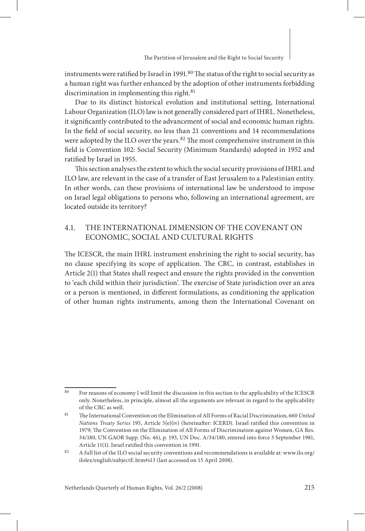instruments were ratified by Israel in 1991.<sup>80</sup> The status of the right to social security as a human right was further enhanced by the adoption of other instruments forbidding discrimination in implementing this right.<sup>81</sup>

Due to its distinct historical evolution and institutional setting, International Labour Organization (ILO) law is not generally considered part of IHRL. Nonetheless, it significantly contributed to the advancement of social and economic human rights. In the field of social security, no less than 21 conventions and 14 recommendations were adopted by the ILO over the years.<sup>82</sup> The most comprehensive instrument in this field is Convention 102: Social Security (Minimum Standards) adopted in 1952 and ratified by Israel in 1955.

This section analyses the extent to which the social security provisions of IHRL and ILO law, are relevant in the case of a transfer of East Jerusalem to a Palestinian entity. In other words, can these provisions of international law be understood to impose on Israel legal obligations to persons who, following an international agreement, are located outside its territory?

### 4.1. The International dimension of the Covenant on Economic, Social and Cultural Rights

The ICESCR, the main IHRL instrument enshrining the right to social security, has no clause specifying its scope of application. The CRC, in contrast, establishes in Article 2(1) that States shall respect and ensure the rights provided in the convention to 'each child within their jurisdiction'. The exercise of State jurisdiction over an area or a person is mentioned, in different formulations, as conditioning the application of other human rights instruments, among them the International Covenant on

<sup>80</sup> For reasons of economy I will limit the discussion in this section to the applicability of the ICESCR only. Nonetheless, in principle, almost all the arguments are relevant in regard to the applicability of the CRC as well.

<sup>81</sup> The International Convention on the Elimination of All Forms of Racial Discrimination, 660 *United Nations Treaty Series* 195, Article 5(e)(iv) (hereinafter: ICERD). Israel ratified this convention in 1979; The Convention on the Elimination of All Forms of Discrimination against Women, GA Res. 34/180, UN GAOR Supp. (No. 46), p. 193, UN Doc. A/34/180, entered into force 3 September 1981, Article 11(1). Israel ratified this convention in 1991.

<sup>82</sup> A full list of the ILO social security conventions and recommendations is available at: www.ilo.org/ ilolex/english/subjectE.htm#s13 (last accessed on 15 April 2008).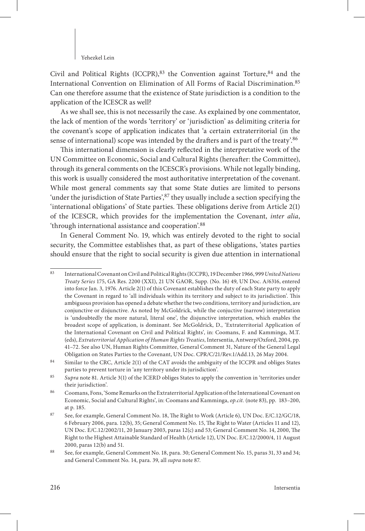Civil and Political Rights (ICCPR), $83$  the Convention against Torture, $84$  and the International Convention on Elimination of All Forms of Racial Discrimination.<sup>85</sup> Can one therefore assume that the existence of State jurisdiction is a condition to the application of the ICESCR as well?

As we shall see, this is not necessarily the case. As explained by one commentator, the lack of mention of the words 'territory' or 'jurisdiction' as delimiting criteria for the covenant's scope of application indicates that 'a certain extraterritorial (in the sense of international) scope was intended by the drafters and is part of the treaty'.<sup>86</sup>

This international dimension is clearly reflected in the interpretative work of the UN Committee on Economic, Social and Cultural Rights (hereafter: the Committee), through its general comments on the ICESCR's provisions. While not legally binding, this work is usually considered the most authoritative interpretation of the covenant. While most general comments say that some State duties are limited to persons 'under the jurisdiction of State Parties',87 they usually include a section specifying the 'international obligations' of State parties. These obligations derive from Article 2(1) of the ICESCR, which provides for the implementation the Covenant, *inter alia*, 'through international assistance and cooperation'.<sup>88</sup>

In General Comment No. 19, which was entirely devoted to the right to social security, the Committee establishes that, as part of these obligations, 'states parties should ensure that the right to social security is given due attention in international

<sup>83</sup> International Covenant on Civil and Political Rights (ICCPR), 19 December 1966, 999 *United Nations Treaty Series* 175, GA Res. 2200 (XXI), 21 UN GAOR, Supp. (No. 16) 49, UN Doc. A/6316, entered into force Jan. 3, 1976. Article 2(1) of this Covenant establishes the duty of each State party to apply the Covenant in regard to 'all individuals within its territory and subject to its jurisdiction'. This ambiguous provision has opened a debate whether the two conditions, territory and jurisdiction, are conjunctive or disjunctive. As noted by McGoldrick, while the conjuctive (narrow) interpretation is 'undoubtedly the more natural, literal one', the disjunctive interpretation, which enables the broadest scope of application, is dominant. See McGoldrick, D., 'Extraterritorial Application of the International Covenant on Civil and Political Rights', in: Coomans, F. and Kamminga, M.T. (eds), *Extraterritorial Application of Human Rights Treaties*, Intersentia, Antwerp/Oxford, 2004, pp. 41–72. See also UN, Human Rights Committee, General Comment 31, Nature of the General Legal Obligation on States Parties to the Covenant, UN Doc. CPR/C/21/Rev.1/Add.13, 26 May 2004.

<sup>84</sup> Similar to the CRC, Article 2(1) of the CAT avoids the ambiguity of the ICCPR and obliges States parties to prevent torture in 'any territory under its jurisdiction'.

<sup>85</sup> *Supra* note 81. Article 3(1) of the ICERD obliges States to apply the convention in 'territories under their jurisdiction'.

<sup>86</sup> Coomans, Fons, 'Some Remarks on the Extraterritorial Application of the International Covenant on Economic, Social and Cultural Rights', in: Coomans and Kamminga, *op.cit.* (note 83), pp. 183–200, at p. 185.

<sup>87</sup> See, for example, General Comment No. 18, The Right to Work (Article 6), UN Doc. E/C.12/GC/18, 6 February 2006, para. 12(b), 35; General Comment No. 15, The Right to Water (Articles 11 and 12), UN Doc. E/C.12/2002/11, 20 January 2003, paras 12(c) and 53; General Comment No. 14, 2000, The Right to the Highest Attainable Standard of Health (Article 12), UN Doc. E/C.12/2000/4, 11 August 2000, paras 12(b) and 51.

<sup>88</sup> See, for example, General Comment No. 18, para. 30; General Comment No. 15, paras 31, 33 and 34; and General Comment No. 14, para. 39, all *supra* note 87.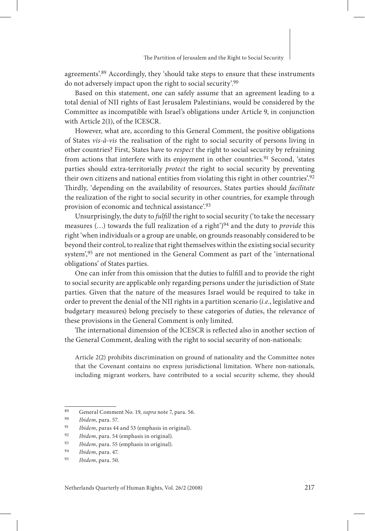agreements'.89 Accordingly, they 'should take steps to ensure that these instruments do not adversely impact upon the right to social security'.90

Based on this statement, one can safely assume that an agreement leading to a total denial of NII rights of East Jerusalem Palestinians, would be considered by the Committee as incompatible with Israel's obligations under Article 9, in conjunction with Article 2(1), of the ICESCR.

However, what are, according to this General Comment, the positive obligations of States *vis-à-vis* the realisation of the right to social security of persons living in other countries? First, States have to *respect* the right to social security by refraining from actions that interfere with its enjoyment in other countries.<sup>91</sup> Second, 'states parties should extra-territorially *protect* the right to social security by preventing their own citizens and national entities from violating this right in other countries'.<sup>92</sup> Thirdly, 'depending on the availability of resources, States parties should *facilitate* the realization of the right to social security in other countries, for example through provision of economic and technical assistance'.93

Unsurprisingly, the duty to *fulfill* the right to social security ('to take the necessary measures (…) towards the full realization of a right')94 and the duty to *provide* this right 'when individuals or a group are unable, on grounds reasonably considered to be beyond their control, to realize that right themselves within the existing social security system',<sup>95</sup> are not mentioned in the General Comment as part of the 'international obligations' of States parties.

One can infer from this omission that the duties to fulfill and to provide the right to social security are applicable only regarding persons under the jurisdiction of State parties. Given that the nature of the measures Israel would be required to take in order to prevent the denial of the NII rights in a partition scenario (*i.e*., legislative and budgetary measures) belong precisely to these categories of duties, the relevance of these provisions in the General Comment is only limited.

The international dimension of the ICESCR is reflected also in another section of the General Comment, dealing with the right to social security of non-nationals:

Article 2(2) prohibits discrimination on ground of nationality and the Committee notes that the Covenant contains no express jurisdictional limitation. Where non-nationals, including migrant workers, have contributed to a social security scheme, they should

<sup>89</sup> General Comment No. 19, *supra* note 7, para. 56.

<sup>90</sup> *Ibidem*, para. 57.

<sup>91</sup> *Ibidem*, paras 44 and 53 (emphasis in original).

*Ibidem*, para. 54 (emphasis in original).

<sup>93</sup> *Ibidem*, para. 55 (emphasis in original).

<sup>94</sup> *Ibidem*, para. 47.

<sup>95</sup> *Ibidem*, para. 50.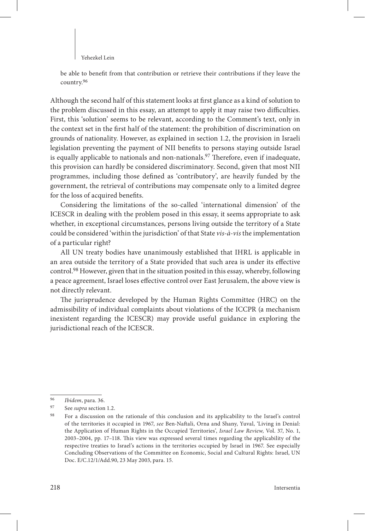be able to benefit from that contribution or retrieve their contributions if they leave the country.96

Although the second half of this statement looks at first glance as a kind of solution to the problem discussed in this essay, an attempt to apply it may raise two difficulties. First, this 'solution' seems to be relevant, according to the Comment's text, only in the context set in the first half of the statement: the prohibition of discrimination on grounds of nationality. However, as explained in section 1.2, the provision in Israeli legislation preventing the payment of NII benefits to persons staying outside Israel is equally applicable to nationals and non-nationals.<sup>97</sup> Therefore, even if inadequate, this provision can hardly be considered discriminatory. Second, given that most NII programmes, including those defined as 'contributory', are heavily funded by the government, the retrieval of contributions may compensate only to a limited degree for the loss of acquired benefits.

Considering the limitations of the so-called 'international dimension' of the ICESCR in dealing with the problem posed in this essay, it seems appropriate to ask whether, in exceptional circumstances, persons living outside the territory of a State could be considered 'within the jurisdiction' of that State *vis-à-vis* the implementation of a particular right?

All UN treaty bodies have unanimously established that IHRL is applicable in an area outside the territory of a State provided that such area is under its effective control.98 However, given that in the situation posited in this essay, whereby, following a peace agreement, Israel loses effective control over East Jerusalem, the above view is not directly relevant.

The jurisprudence developed by the Human Rights Committee (HRC) on the admissibility of individual complaints about violations of the ICCPR (a mechanism inexistent regarding the ICESCR) may provide useful guidance in exploring the jurisdictional reach of the ICESCR.

<sup>96</sup> *Ibidem*, para. 36.

See *supra* section 1.2.

<sup>98</sup> For a discussion on the rationale of this conclusion and its applicability to the Israel's control of the territories it occupied in 1967, *see* Ben-Naftali, Orna and Shany, Yuval, 'Living in Denial: the Application of Human Rights in the Occupied Territories', *Israel Law Review,* Vol. 37, No. 1, 2003–2004, pp. 17–118. This view was expressed several times regarding the applicability of the respective treaties to Israel's actions in the territories occupied by Israel in 1967. See especially Concluding Observations of the Committee on Economic, Social and Cultural Rights: Israel, UN Doc. E/C.12/1/Add.90, 23 May 2003, para. 15.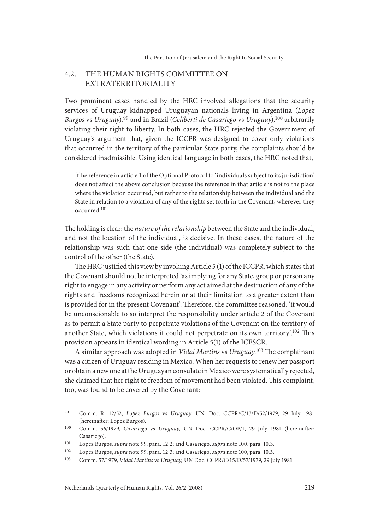### 4.2. The Human Rights Committee on extraterritoriality

Two prominent cases handled by the HRC involved allegations that the security services of Uruguay kidnapped Uruguayan nationals living in Argentina (*Lopez Burgos* vs *Uruguay*),99 and in Brazil (*Celiberti de Casariego* vs *Uruguay*),100 arbitrarily violating their right to liberty. In both cases, the HRC rejected the Government of Uruguay's argument that, given the ICCPR was designed to cover only violations that occurred in the territory of the particular State party, the complaints should be considered inadmissible. Using identical language in both cases, the HRC noted that,

[t]he reference in article 1 of the Optional Protocol to 'individuals subject to its jurisdiction' does not affect the above conclusion because the reference in that article is not to the place where the violation occurred, but rather to the relationship between the individual and the State in relation to a violation of any of the rights set forth in the Covenant, wherever they occurred.101

The holding is clear: the *nature of the relationship* between the State and the individual, and not the location of the individual, is decisive. In these cases, the nature of the relationship was such that one side (the individual) was completely subject to the control of the other (the State).

The HRC justified this view by invoking Article 5 (1) of the ICCPR, which states that the Covenant should not be interpreted 'as implying for any State, group or person any right to engage in any activity or perform any act aimed at the destruction of any of the rights and freedoms recognized herein or at their limitation to a greater extent than is provided for in the present Covenant'. Therefore, the committee reasoned, 'it would be unconscionable to so interpret the responsibility under article 2 of the Covenant as to permit a State party to perpetrate violations of the Covenant on the territory of another State, which violations it could not perpetrate on its own territory'.102 This provision appears in identical wording in Article 5(1) of the ICESCR.

A similar approach was adopted in *Vidal Martins* vs *Uruguay*. 103 The complainant was a citizen of Uruguay residing in Mexico. When her requests to renew her passport or obtain a new one at the Uruguayan consulate in Mexico were systematically rejected, she claimed that her right to freedom of movement had been violated. This complaint, too, was found to be covered by the Covenant:

<sup>99</sup> Comm. R. 12/52, *Lopez Burgos* vs *Uruguay*, UN. Doc. CCPR/C/13/D/52/1979, 29 July 1981 (hereinafter: Lopez Burgos).

<sup>100</sup> Comm. 56/1979, *Casariego* vs *Uruguay*, UN Doc. CCPR/C/OP/1, 29 July 1981 (hereinafter: Casariego).

<sup>101</sup> Lopez Burgos, *supra* note 99, para. 12.2; and Casariego, *supra* note 100, para. 10.3.

<sup>102</sup> Lopez Burgos, *supra* note 99, para. 12.3; and Casariego, *supra* note 100, para. 10.3.

<sup>103</sup> Comm. 57/1979, *Vidal Martins* vs *Uruguay,* UN Doc. CCPR/C/15/D/57/1979, 29 July 1981.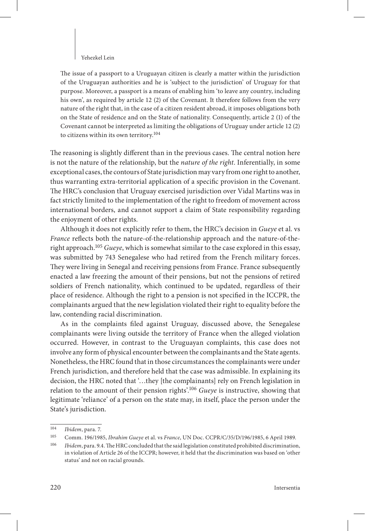The issue of a passport to a Uruguayan citizen is clearly a matter within the jurisdiction of the Uruguayan authorities and he is 'subject to the jurisdiction' of Uruguay for that purpose. Moreover, a passport is a means of enabling him 'to leave any country, including his own', as required by article 12 (2) of the Covenant. It therefore follows from the very nature of the right that, in the case of a citizen resident abroad, it imposes obligations both on the State of residence and on the State of nationality. Consequently, article 2 (1) of the Covenant cannot be interpreted as limiting the obligations of Uruguay under article 12 (2) to citizens within its own territory.104

The reasoning is slightly different than in the previous cases. The central notion here is not the nature of the relationship, but the *nature of the right*. Inferentially, in some exceptional cases, the contours of State jurisdiction may vary from one right to another, thus warranting extra-territorial application of a specific provision in the Covenant. The HRC's conclusion that Uruguay exercised jurisdiction over Vidal Martins was in fact strictly limited to the implementation of the right to freedom of movement across international borders, and cannot support a claim of State responsibility regarding the enjoyment of other rights.

Although it does not explicitly refer to them, the HRC's decision in *Gueye* et al. vs *France* reflects both the nature-of-the-relationship approach and the nature-of-theright approach.105 *Gueye*, which is somewhat similar to the case explored in this essay, was submitted by 743 Senegalese who had retired from the French military forces. They were living in Senegal and receiving pensions from France. France subsequently enacted a law freezing the amount of their pensions, but not the pensions of retired soldiers of French nationality, which continued to be updated, regardless of their place of residence. Although the right to a pension is not specified in the ICCPR, the complainants argued that the new legislation violated their right to equality before the law, contending racial discrimination.

As in the complaints filed against Uruguay, discussed above, the Senegalese complainants were living outside the territory of France when the alleged violation occurred. However, in contrast to the Uruguayan complaints, this case does not involve any form of physical encounter between the complainants and the State agents. Nonetheless, the HRC found that in those circumstances the complainants were under French jurisdiction, and therefore held that the case was admissible. In explaining its decision, the HRC noted that '…they [the complainants] rely on French legislation in relation to the amount of their pension rights'.106 *Gueye* is instructive, showing that legitimate 'reliance' of a person on the state may, in itself, place the person under the State's jurisdiction.

<sup>104</sup> *Ibidem*, para. 7.

<sup>105</sup> Comm. 196/1985, *Ibrahim Gueye* et al. vs *France*, UN Doc. CCPR/C/35/D/196/1985, 6 April 1989.

<sup>106</sup> *Ibidem*, para. 9.4. The HRC concluded that the said legislation constituted prohibited discrimination, in violation of Article 26 of the ICCPR; however, it held that the discrimination was based on 'other status' and not on racial grounds.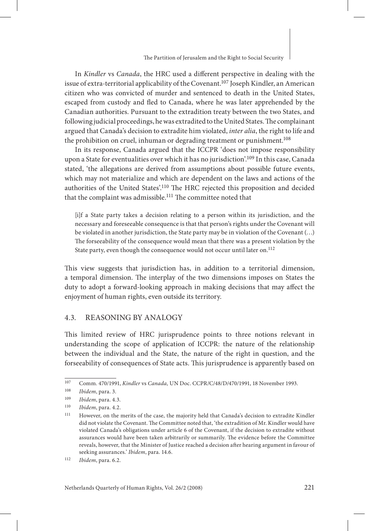In *Kindler* vs *Canada*, the HRC used a different perspective in dealing with the issue of extra-territorial applicability of the Covenant.<sup>107</sup> Joseph Kindler, an American citizen who was convicted of murder and sentenced to death in the United States, escaped from custody and fled to Canada, where he was later apprehended by the Canadian authorities. Pursuant to the extradition treaty between the two States, and following judicial proceedings, he was extradited to the United States. The complainant argued that Canada's decision to extradite him violated, *inter alia*, the right to life and the prohibition on cruel, inhuman or degrading treatment or punishment.<sup>108</sup>

In its response, Canada argued that the ICCPR 'does not impose responsibility upon a State for eventualities over which it has no jurisdiction'.109 In this case, Canada stated, 'the allegations are derived from assumptions about possible future events, which may not materialize and which are dependent on the laws and actions of the authorities of the United States'.110 The HRC rejected this proposition and decided that the complaint was admissible.111 The committee noted that

[i]f a State party takes a decision relating to a person within its jurisdiction, and the necessary and foreseeable consequence is that that person's rights under the Covenant will be violated in another jurisdiction, the State party may be in violation of the Covenant (…) The forseeability of the consequence would mean that there was a present violation by the State party, even though the consequence would not occur until later on.112

This view suggests that jurisdiction has, in addition to a territorial dimension, a temporal dimension. The interplay of the two dimensions imposes on States the duty to adopt a forward-looking approach in making decisions that may affect the enjoyment of human rights, even outside its territory.

### 4.3. Reasoning by analogy

This limited review of HRC jurisprudence points to three notions relevant in understanding the scope of application of ICCPR: the nature of the relationship between the individual and the State, the nature of the right in question, and the forseeability of consequences of State acts. This jurisprudence is apparently based on

<sup>107</sup> Comm. 470/1991, *Kindler* vs *Canada,* UN Doc. CCPR/C/48/D/470/1991, 18 November 1993.

<sup>108</sup> *Ibidem*, para. 3.

Ibidem, para. 4.3.

<sup>110</sup> *Ibidem*, para. 4.2.

<sup>111</sup> However, on the merits of the case, the majority held that Canada's decision to extradite Kindler did not violate the Covenant. The Committee noted that, 'the extradition of Mr. Kindler would have violated Canada's obligations under article 6 of the Covenant, if the decision to extradite without assurances would have been taken arbitrarily or summarily. The evidence before the Committee reveals, however, that the Minister of Justice reached a decision after hearing argument in favour of seeking assurances.' *Ibidem*, para. 14.6.

<sup>112</sup> *Ibidem*, para. 6.2.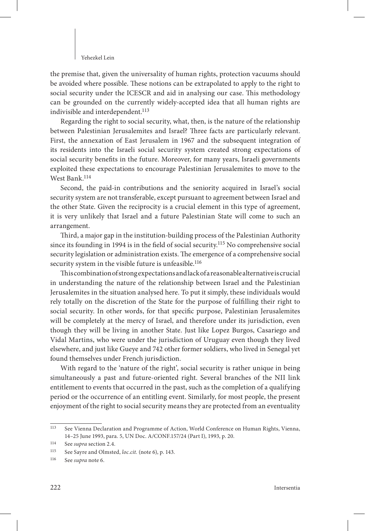the premise that, given the universality of human rights, protection vacuums should be avoided where possible. These notions can be extrapolated to apply to the right to social security under the ICESCR and aid in analysing our case. This methodology can be grounded on the currently widely-accepted idea that all human rights are indivisible and interdependent.<sup>113</sup>

Regarding the right to social security, what, then, is the nature of the relationship between Palestinian Jerusalemites and Israel? Three facts are particularly relevant. First, the annexation of East Jerusalem in 1967 and the subsequent integration of its residents into the Israeli social security system created strong expectations of social security benefits in the future. Moreover, for many years, Israeli governments exploited these expectations to encourage Palestinian Jerusalemites to move to the West Bank.<sup>114</sup>

Second, the paid-in contributions and the seniority acquired in Israel's social security system are not transferable, except pursuant to agreement between Israel and the other State. Given the reciprocity is a crucial element in this type of agreement, it is very unlikely that Israel and a future Palestinian State will come to such an arrangement.

Third, a major gap in the institution-building process of the Palestinian Authority since its founding in 1994 is in the field of social security.115 No comprehensive social security legislation or administration exists. The emergence of a comprehensive social security system in the visible future is unfeasible.<sup>116</sup>

This combination of strong expectations and lack of a reasonable alternative is crucial in understanding the nature of the relationship between Israel and the Palestinian Jerusalemites in the situation analysed here. To put it simply, these individuals would rely totally on the discretion of the State for the purpose of fulfilling their right to social security. In other words, for that specific purpose, Palestinian Jerusalemites will be completely at the mercy of Israel, and therefore under its jurisdiction, even though they will be living in another State. Just like Lopez Burgos, Casariego and Vidal Martins, who were under the jurisdiction of Uruguay even though they lived elsewhere, and just like Gueye and 742 other former soldiers, who lived in Senegal yet found themselves under French jurisdiction.

With regard to the 'nature of the right', social security is rather unique in being simultaneously a past and future-oriented right. Several branches of the NII link entitlement to events that occurred in the past, such as the completion of a qualifying period or the occurrence of an entitling event. Similarly, for most people, the present enjoyment of the right to social security means they are protected from an eventuality

<sup>113</sup> See Vienna Declaration and Programme of Action, World Conference on Human Rights, Vienna, 14–25 June 1993, para. 5, UN Doc. A/CONF.157/24 (Part I), 1993, p. 20.

<sup>114</sup> See *supra* section 2.4.

<sup>115</sup> See Sayre and Olmsted, *loc.cit.* (note 6), p. 143.

<sup>116</sup> See *supra* note 6.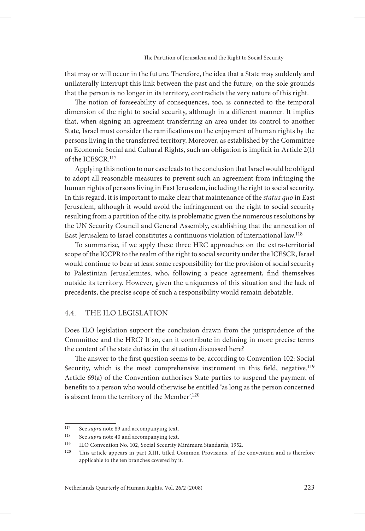that may or will occur in the future. Therefore, the idea that a State may suddenly and unilaterally interrupt this link between the past and the future, on the sole grounds that the person is no longer in its territory, contradicts the very nature of this right.

The notion of forseeability of consequences, too, is connected to the temporal dimension of the right to social security, although in a different manner. It implies that, when signing an agreement transferring an area under its control to another State, Israel must consider the ramifications on the enjoyment of human rights by the persons living in the transferred territory. Moreover, as established by the Committee on Economic Social and Cultural Rights, such an obligation is implicit in Article 2(1) of the ICESCR.117

Applying this notion to our case leads to the conclusion that Israel would be obliged to adopt all reasonable measures to prevent such an agreement from infringing the human rights of persons living in East Jerusalem, including the right to social security. In this regard, it is important to make clear that maintenance of the *status quo* in East Jerusalem, although it would avoid the infringement on the right to social security resulting from a partition of the city, is problematic given the numerous resolutions by the UN Security Council and General Assembly, establishing that the annexation of East Jerusalem to Israel constitutes a continuous violation of international law.118

To summarise, if we apply these three HRC approaches on the extra-territorial scope of the ICCPR to the realm of the right to social security under the ICESCR, Israel would continue to bear at least some responsibility for the provision of social security to Palestinian Jerusalemites, who, following a peace agreement, find themselves outside its territory. However, given the uniqueness of this situation and the lack of precedents, the precise scope of such a responsibility would remain debatable.

### 4.4. The ILO legislation

Does ILO legislation support the conclusion drawn from the jurisprudence of the Committee and the HRC? If so, can it contribute in defining in more precise terms the content of the state duties in the situation discussed here?

The answer to the first question seems to be, according to Convention 102: Social Security, which is the most comprehensive instrument in this field, negative.<sup>119</sup> Article 69(a) of the Convention authorises State parties to suspend the payment of benefits to a person who would otherwise be entitled 'as long as the person concerned is absent from the territory of the Member'.120

<sup>117</sup> See *supra* note 89 and accompanying text.

<sup>118</sup> See *supra* note 40 and accompanying text.

<sup>119</sup> ILO Convention No. 102, Social Security Minimum Standards, 1952.

<sup>120</sup> This article appears in part XIII, titled Common Provisions, of the convention and is therefore applicable to the ten branches covered by it.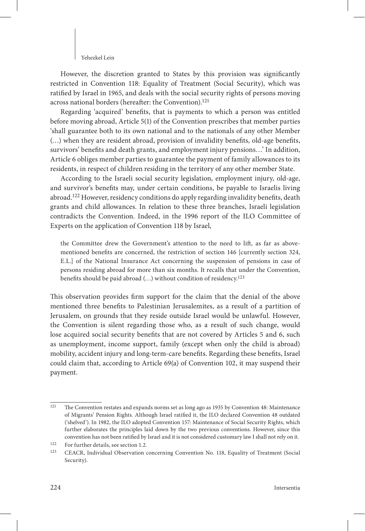However, the discretion granted to States by this provision was significantly restricted in Convention 118: Equality of Treatment (Social Security), which was ratified by Israel in 1965, and deals with the social security rights of persons moving across national borders (hereafter: the Convention).<sup>121</sup>

Regarding 'acquired' benefits, that is payments to which a person was entitled before moving abroad, Article 5(1) of the Convention prescribes that member parties 'shall guarantee both to its own national and to the nationals of any other Member (…) when they are resident abroad, provision of invalidity benefits, old-age benefits, survivors' benefits and death grants, and employment injury pensions…' In addition, Article 6 obliges member parties to guarantee the payment of family allowances to its residents, in respect of children residing in the territory of any other member State.

According to the Israeli social security legislation, employment injury, old-age, and survivor's benefits may, under certain conditions, be payable to Israelis living abroad.122 However, residency conditions do apply regarding invalidity benefits, death grants and child allowances. In relation to these three branches, Israeli legislation contradicts the Convention. Indeed, in the 1996 report of the ILO Committee of Experts on the application of Convention 118 by Israel,

the Committee drew the Government's attention to the need to lift, as far as abovementioned benefits are concerned, the restriction of section 146 [currently section 324, E.L.] of the National Insurance Act concerning the suspension of pensions in case of persons residing abroad for more than six months. It recalls that under the Convention, benefits should be paid abroad (…) without condition of residency.123

This observation provides firm support for the claim that the denial of the above mentioned three benefits to Palestinian Jerusalemites, as a result of a partition of Jerusalem, on grounds that they reside outside Israel would be unlawful. However, the Convention is silent regarding those who, as a result of such change, would lose acquired social security benefits that are not covered by Articles 5 and 6, such as unemployment, income support, family (except when only the child is abroad) mobility, accident injury and long-term-care benefits. Regarding these benefits, Israel could claim that, according to Article 69(a) of Convention 102, it may suspend their payment.

<sup>121</sup> The Convention restates and expands norms set as long ago as 1935 by Convention 48: Maintenance of Migrants' Pension Rights. Although Israel ratified it, the ILO declared Convention 48 outdated ('shelved'). In 1982, the ILO adopted Convention 157: Maintenance of Social Security Rights, which further elaborates the principles laid down by the two previous conventions. However, since this convention has not been ratified by Israel and it is not considered customary law I shall not rely on it.

<sup>122</sup> For further details, see section 1.2.

<sup>123</sup> CEACR, Individual Observation concerning Convention No. 118, Equality of Treatment (Social Security).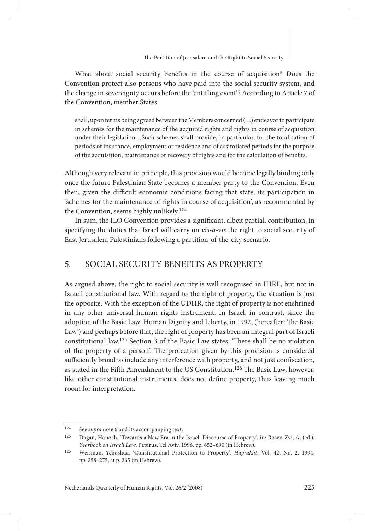What about social security benefits in the course of acquisition? Does the Convention protect also persons who have paid into the social security system, and the change in sovereignty occurs before the 'entitling event'? According to Article 7 of the Convention, member States

shall, upon terms being agreed between the Members concerned (…) endeavor to participate in schemes for the maintenance of the acquired rights and rights in course of acquisition under their legislation…Such schemes shall provide, in particular, for the totalisation of periods of insurance, employment or residence and of assimilated periods for the purpose of the acquisition, maintenance or recovery of rights and for the calculation of benefits.

Although very relevant in principle, this provision would become legally binding only once the future Palestinian State becomes a member party to the Convention. Even then, given the difficult economic conditions facing that state, its participation in 'schemes for the maintenance of rights in course of acquisition', as recommended by the Convention, seems highly unlikely.124

In sum, the ILO Convention provides a significant, albeit partial, contribution, in specifying the duties that Israel will carry on *vis-à-vis* the right to social security of East Jerusalem Palestinians following a partition-of-the-city scenario.

### 5. Social security benefits as property

As argued above, the right to social security is well recognised in IHRL, but not in Israeli constitutional law. With regard to the right of property, the situation is just the opposite. With the exception of the UDHR, the right of property is not enshrined in any other universal human rights instrument. In Israel, in contrast, since the adoption of the Basic Law: Human Dignity and Liberty, in 1992, (hereafter: 'the Basic Law') and perhaps before that, the right of property has been an integral part of Israeli constitutional law.125 Section 3 of the Basic Law states: 'There shall be no violation of the property of a person'. The protection given by this provision is considered sufficiently broad to include any interference with property, and not just confiscation, as stated in the Fifth Amendment to the US Constitution.126 The Basic Law, however, like other constitutional instruments, does not define property, thus leaving much room for interpretation.

<sup>124</sup> See *supra* note 6 and its accompanying text.

<sup>125</sup> Dagan, Hanoch, 'Towards a New Era in the Israeli Discourse of Property', in: Rosen-Zvi, A. (ed.), *Yearbook on Israeli Law*, Papirus, Tel Aviv, 1996, pp. 652–690 (in Hebrew).

<sup>126</sup> Weisman, Yehoshua, 'Constitutional Protection to Property', *Hapraklit,* Vol. 42, No. 2, 1994, pp. 258–275, at p. 265 (in Hebrew).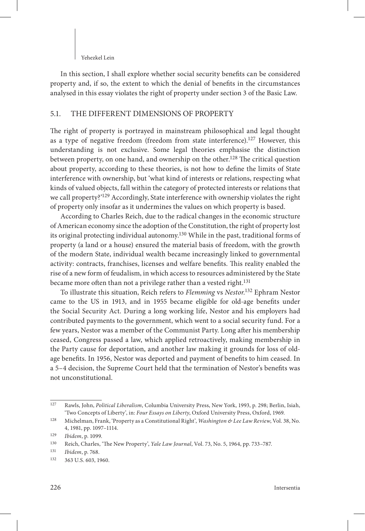In this section, I shall explore whether social security benefits can be considered property and, if so, the extent to which the denial of benefits in the circumstances analysed in this essay violates the right of property under section 3 of the Basic Law.

### 5.1. The different dimensions of property

The right of property is portrayed in mainstream philosophical and legal thought as a type of negative freedom (freedom from state interference).<sup>127</sup> However, this understanding is not exclusive. Some legal theories emphasise the distinction between property, on one hand, and ownership on the other.<sup>128</sup> The critical question about property, according to these theories, is not how to define the limits of State interference with ownership, but 'what kind of interests or relations, respecting what kinds of valued objects, fall within the category of protected interests or relations that we call property?'129 Accordingly, State interference with ownership violates the right of property only insofar as it undermines the values on which property is based.

According to Charles Reich, due to the radical changes in the economic structure of American economy since the adoption of the Constitution, the right of property lost its original protecting individual autonomy.130 While in the past, traditional forms of property (a land or a house) ensured the material basis of freedom, with the growth of the modern State, individual wealth became increasingly linked to governmental activity: contracts, franchises, licenses and welfare benefits. This reality enabled the rise of a new form of feudalism, in which access to resources administered by the State became more often than not a privilege rather than a vested right.<sup>131</sup>

To illustrate this situation, Reich refers to *Flemming* vs *Nestor*. 132 Ephram Nestor came to the US in 1913, and in 1955 became eligible for old-age benefits under the Social Security Act. During a long working life, Nestor and his employers had contributed payments to the government, which went to a social security fund. For a few years, Nestor was a member of the Communist Party. Long after his membership ceased, Congress passed a law, which applied retroactively, making membership in the Party cause for deportation, and another law making it grounds for loss of oldage benefits. In 1956, Nestor was deported and payment of benefits to him ceased. In a 5–4 decision, the Supreme Court held that the termination of Nestor's benefits was not unconstitutional.

<sup>127</sup> Rawls, John, *Political Liberalism*, Columbia University Press, New York, 1993, p. 298; Berlin, Isiah, 'Two Concepts of Liberty', in: *Four Essays on Liberty*, Oxford University Press, Oxford, 1969.

<sup>128</sup> Michelman, Frank, 'Property as a Constitutional Right', *Washington & Lee Law Review*, Vol. 38, No. 4, 1981, pp. 1097–1114.

<sup>129</sup> *Ibidem*, p. 1099.

<sup>130</sup> Reich, Charles, 'The New Property', *Yale Law Journal*, Vol. 73, No. 5, 1964, pp. 733–787.

<sup>131</sup> *Ibidem*, p. 768.

<sup>132</sup> 363 U.S. 603, 1960.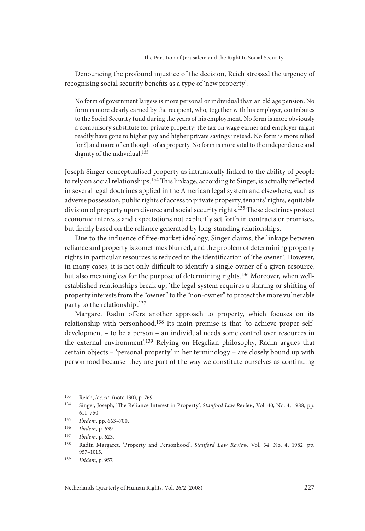Denouncing the profound injustice of the decision, Reich stressed the urgency of recognising social security benefits as a type of 'new property':

No form of government largess is more personal or individual than an old age pension. No form is more clearly earned by the recipient, who, together with his employer, contributes to the Social Security fund during the years of his employment. No form is more obviously a compulsory substitute for private property; the tax on wage earner and employer might readily have gone to higher pay and higher private savings instead. No form is more relied [on?] and more often thought of as property. No form is more vital to the independence and dignity of the individual.<sup>133</sup>

Joseph Singer conceptualised property as intrinsically linked to the ability of people to rely on social relationships.<sup>134</sup> This linkage, according to Singer, is actually reflected in several legal doctrines applied in the American legal system and elsewhere, such as adverse possession, public rights of access to private property, tenants' rights, equitable division of property upon divorce and social security rights.<sup>135</sup> These doctrines protect economic interests and expectations not explicitly set forth in contracts or promises, but firmly based on the reliance generated by long-standing relationships.

Due to the influence of free-market ideology, Singer claims, the linkage between reliance and property is sometimes blurred, and the problem of determining property rights in particular resources is reduced to the identification of 'the owner'. However, in many cases, it is not only difficult to identify a single owner of a given resource, but also meaningless for the purpose of determining rights.136 Moreover, when wellestablished relationships break up, 'the legal system requires a sharing or shifting of property interests from the "owner" to the "non-owner" to protect the more vulnerable party to the relationship'.137

Margaret Radin offers another approach to property, which focuses on its relationship with personhood.138 Its main premise is that 'to achieve proper selfdevelopment – to be a person – an individual needs some control over resources in the external environment'.139 Relying on Hegelian philosophy, Radin argues that certain objects – 'personal property' in her terminology – are closely bound up with personhood because 'they are part of the way we constitute ourselves as continuing

<sup>133</sup> Reich, *loc.cit.* (note 130), p. 769.

<sup>134</sup> Singer, Joseph, 'The Reliance Interest in Property', *Stanford Law Review*, Vol. 40, No. 4, 1988, pp. 611–750.

<sup>135</sup> *Ibidem,* pp. 663–700.

<sup>136</sup> *Ibidem,* p. 639.

<sup>137</sup> *Ibidem,* p. 623.

<sup>138</sup> Radin Margaret, 'Property and Personhood', *Stanford Law Review*, Vol. 34, No. 4, 1982, pp. 957–1015.

<sup>139</sup> *Ibidem*, p. 957.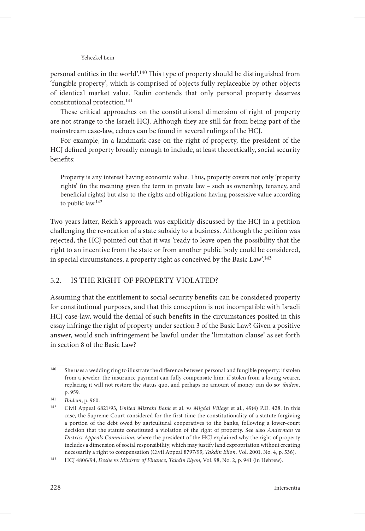personal entities in the world'.140 This type of property should be distinguished from 'fungible property', which is comprised of objects fully replaceable by other objects of identical market value. Radin contends that only personal property deserves constitutional protection.141

These critical approaches on the constitutional dimension of right of property are not strange to the Israeli HCJ. Although they are still far from being part of the mainstream case-law, echoes can be found in several rulings of the HCJ.

For example, in a landmark case on the right of property, the president of the HCJ defined property broadly enough to include, at least theoretically, social security benefits:

Property is any interest having economic value. Thus, property covers not only 'property rights' (in the meaning given the term in private law – such as ownership, tenancy, and beneficial rights) but also to the rights and obligations having possessive value according to public law.142

Two years latter, Reich's approach was explicitly discussed by the HCJ in a petition challenging the revocation of a state subsidy to a business. Although the petition was rejected, the HCJ pointed out that it was 'ready to leave open the possibility that the right to an incentive from the state or from another public body could be considered, in special circumstances, a property right as conceived by the Basic Law'.143

### 5.2. Is the right of property violated?

Assuming that the entitlement to social security benefits can be considered property for constitutional purposes, and that this conception is not incompatible with Israeli HCJ case-law, would the denial of such benefits in the circumstances posited in this essay infringe the right of property under section 3 of the Basic Law? Given a positive answer, would such infringement be lawful under the 'limitation clause' as set forth in section 8 of the Basic Law?

<sup>140</sup> She uses a wedding ring to illustrate the difference between personal and fungible property: if stolen from a jeweler, the insurance payment can fully compensate him; if stolen from a loving wearer, replacing it will not restore the status quo, and perhaps no amount of money can do so; *ibidem*, p. 959.

<sup>141</sup> *Ibidem*, p. 960.

<sup>142</sup> Civil Appeal 6821/93, *United Mizrahi Bank* et al. vs *Migdal Village* et al*.*, 49(4) P.D. 428. In this case, the Supreme Court considered for the first time the constitutionality of a statute forgiving a portion of the debt owed by agricultural cooperatives to the banks, following a lower-court decision that the statute constituted a violation of the right of property. See also *Anderman* vs *District Appeals Commission*, where the president of the HCJ explained why the right of property includes a dimension of social responsibility, which may justify land expropriation without creating necessarily a right to compensation (Civil Appeal 8797/99, *Takdin Elion,* Vol. 2001, No. 4, p. 536).

<sup>143</sup> HCJ 4806/94, *Deshe* vs *Minister of Finance, Takdin Elyon*, Vol. 98, No. 2, p. 941 (in Hebrew).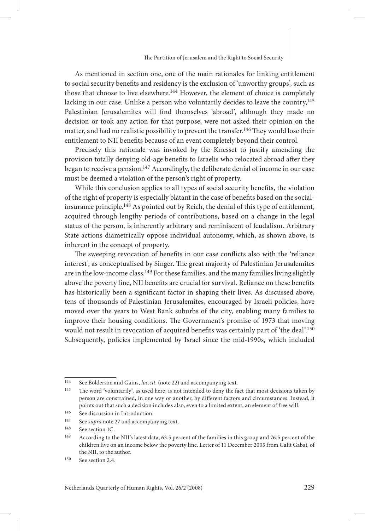As mentioned in section one, one of the main rationales for linking entitlement to social security benefits and residency is the exclusion of 'unworthy groups', such as those that choose to live elsewhere.<sup>144</sup> However, the element of choice is completely lacking in our case. Unlike a person who voluntarily decides to leave the country,<sup>145</sup> Palestinian Jerusalemites will find themselves 'abroad', although they made no decision or took any action for that purpose, were not asked their opinion on the matter, and had no realistic possibility to prevent the transfer.<sup>146</sup> They would lose their entitlement to NII benefits because of an event completely beyond their control.

Precisely this rationale was invoked by the Knesset to justify amending the provision totally denying old-age benefits to Israelis who relocated abroad after they began to receive a pension.<sup>147</sup> Accordingly, the deliberate denial of income in our case must be deemed a violation of the person's right of property.

While this conclusion applies to all types of social security benefits, the violation of the right of property is especially blatant in the case of benefits based on the socialinsurance principle.148 As pointed out by Reich, the denial of this type of entitlement, acquired through lengthy periods of contributions, based on a change in the legal status of the person, is inherently arbitrary and reminiscent of feudalism. Arbitrary State actions diametrically oppose individual autonomy, which, as shown above, is inherent in the concept of property.

The sweeping revocation of benefits in our case conflicts also with the 'reliance interest', as conceptualised by Singer. The great majority of Palestinian Jerusalemites are in the low-income class.149 For these families, and the many families living slightly above the poverty line, NII benefits are crucial for survival. Reliance on these benefits has historically been a significant factor in shaping their lives. As discussed above, tens of thousands of Palestinian Jerusalemites, encouraged by Israeli policies, have moved over the years to West Bank suburbs of the city, enabling many families to improve their housing conditions. The Government's promise of 1973 that moving would not result in revocation of acquired benefits was certainly part of 'the deal'.150 Subsequently, policies implemented by Israel since the mid-1990s, which included

<sup>144</sup> See Bolderson and Gains, *loc.cit.* (note 22) and accompanying text.<br>145 The word 'voluntarily' as weed here, is not intended to dony the fa

The word 'voluntarily', as used here, is not intended to deny the fact that most decisions taken by person are constrained, in one way or another, by different factors and circumstances. Instead, it points out that such a decision includes also, even to a limited extent, an element of free will.

<sup>146</sup> See discussion in Introduction.

<sup>147</sup> See *supra* note 27 and accompanying text.

<sup>148</sup> See section 1C.

<sup>149</sup> According to the NII's latest data, 63.5 percent of the families in this group and 76.5 percent of the children live on an income below the poverty line. Letter of 11 December 2005 from Galit Gabai, of the NII, to the author.

<sup>150</sup> See section 2.4.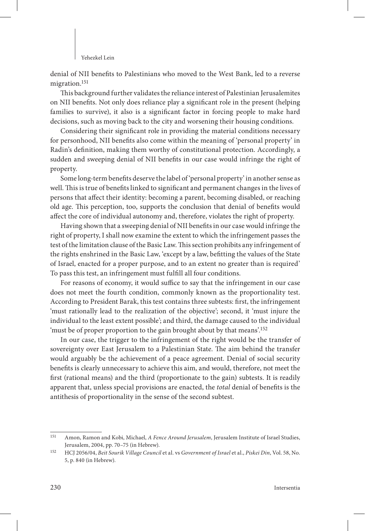denial of NII benefits to Palestinians who moved to the West Bank, led to a reverse migration.151

This background further validates the reliance interest of Palestinian Jerusalemites on NII benefits. Not only does reliance play a significant role in the present (helping families to survive), it also is a significant factor in forcing people to make hard decisions, such as moving back to the city and worsening their housing conditions.

Considering their significant role in providing the material conditions necessary for personhood, NII benefits also come within the meaning of 'personal property' in Radin's definition, making them worthy of constitutional protection. Accordingly, a sudden and sweeping denial of NII benefits in our case would infringe the right of property.

Some long-term benefits deserve the label of 'personal property' in another sense as well. This is true of benefits linked to significant and permanent changes in the lives of persons that affect their identity: becoming a parent, becoming disabled, or reaching old age. This perception, too, supports the conclusion that denial of benefits would affect the core of individual autonomy and, therefore, violates the right of property.

Having shown that a sweeping denial of NII benefits in our case would infringe the right of property, I shall now examine the extent to which the infringement passes the test of the limitation clause of the Basic Law. This section prohibits any infringement of the rights enshrined in the Basic Law, 'except by a law, befitting the values of the State of Israel, enacted for a proper purpose, and to an extent no greater than is required' To pass this test, an infringement must fulfill all four conditions.

For reasons of economy, it would suffice to say that the infringement in our case does not meet the fourth condition, commonly known as the proportionality test. According to President Barak, this test contains three subtests: first, the infringement 'must rationally lead to the realization of the objective'; second, it 'must injure the individual to the least extent possible'; and third, the damage caused to the individual 'must be of proper proportion to the gain brought about by that means'.152

In our case, the trigger to the infringement of the right would be the transfer of sovereignty over East Jerusalem to a Palestinian State. The aim behind the transfer would arguably be the achievement of a peace agreement. Denial of social security benefits is clearly unnecessary to achieve this aim, and would, therefore, not meet the first (rational means) and the third (proportionate to the gain) subtests. It is readily apparent that, unless special provisions are enacted, the *total* denial of benefits is the antithesis of proportionality in the sense of the second subtest.

<sup>151</sup> Amon, Ramon and Kobi, Michael, *A Fence Around Jerusalem*, Jerusalem Institute of Israel Studies, Jerusalem, 2004, pp. 70–75 (in Hebrew).

<sup>152</sup> HCJ 2056/04, *Beit Sourik Village Council* et al. vs *Government of Israel* et al., *Piskei Din*, Vol. 58, No. 5, p. 840 (in Hebrew).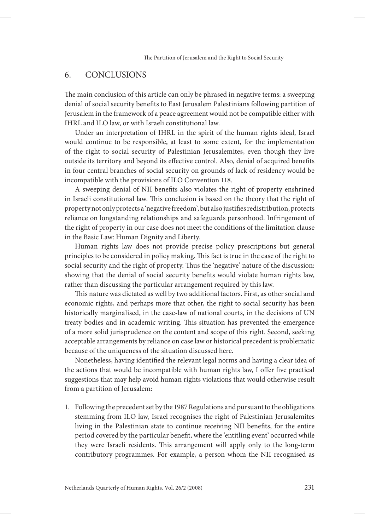# 6. Conclusions

The main conclusion of this article can only be phrased in negative terms: a sweeping denial of social security benefits to East Jerusalem Palestinians following partition of Jerusalem in the framework of a peace agreement would not be compatible either with IHRL and ILO law, or with Israeli constitutional law.

Under an interpretation of IHRL in the spirit of the human rights ideal, Israel would continue to be responsible, at least to some extent, for the implementation of the right to social security of Palestinian Jerusalemites, even though they live outside its territory and beyond its effective control. Also, denial of acquired benefits in four central branches of social security on grounds of lack of residency would be incompatible with the provisions of ILO Convention 118.

A sweeping denial of NII benefits also violates the right of property enshrined in Israeli constitutional law. This conclusion is based on the theory that the right of property not only protects a 'negative freedom', but also justifies redistribution, protects reliance on longstanding relationships and safeguards personhood. Infringement of the right of property in our case does not meet the conditions of the limitation clause in the Basic Law: Human Dignity and Liberty.

Human rights law does not provide precise policy prescriptions but general principles to be considered in policy making. This fact is true in the case of the right to social security and the right of property. Thus the 'negative' nature of the discussion: showing that the denial of social security benefits would violate human rights law, rather than discussing the particular arrangement required by this law.

This nature was dictated as well by two additional factors. First, as other social and economic rights, and perhaps more that other, the right to social security has been historically marginalised, in the case-law of national courts, in the decisions of UN treaty bodies and in academic writing. This situation has prevented the emergence of a more solid jurisprudence on the content and scope of this right. Second, seeking acceptable arrangements by reliance on case law or historical precedent is problematic because of the uniqueness of the situation discussed here.

Nonetheless, having identified the relevant legal norms and having a clear idea of the actions that would be incompatible with human rights law, I offer five practical suggestions that may help avoid human rights violations that would otherwise result from a partition of Jerusalem:

1. Following the precedent set by the 1987 Regulations and pursuant to the obligations stemming from ILO law, Israel recognises the right of Palestinian Jerusalemites living in the Palestinian state to continue receiving NII benefits, for the entire period covered by the particular benefit, where the 'entitling event' occurred while they were Israeli residents. This arrangement will apply only to the long-term contributory programmes. For example, a person whom the NII recognised as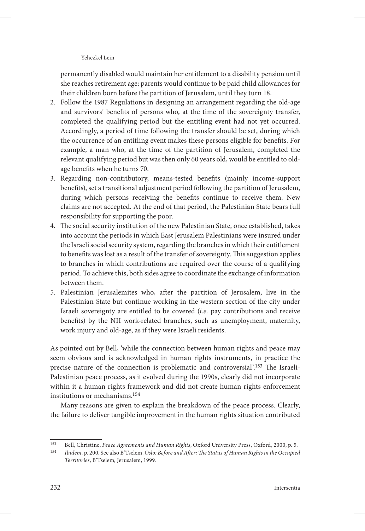permanently disabled would maintain her entitlement to a disability pension until she reaches retirement age; parents would continue to be paid child allowances for their children born before the partition of Jerusalem, until they turn 18.

- 2. Follow the 1987 Regulations in designing an arrangement regarding the old-age and survivors' benefits of persons who, at the time of the sovereignty transfer, completed the qualifying period but the entitling event had not yet occurred. Accordingly, a period of time following the transfer should be set, during which the occurrence of an entitling event makes these persons eligible for benefits. For example, a man who, at the time of the partition of Jerusalem, completed the relevant qualifying period but was then only 60 years old, would be entitled to oldage benefits when he turns 70.
- 3. Regarding non-contributory, means-tested benefits (mainly income-support benefits), set a transitional adjustment period following the partition of Jerusalem, during which persons receiving the benefits continue to receive them. New claims are not accepted. At the end of that period, the Palestinian State bears full responsibility for supporting the poor.
- 4. The social security institution of the new Palestinian State, once established, takes into account the periods in which East Jerusalem Palestinians were insured under the Israeli social security system, regarding the branches in which their entitlement to benefits was lost as a result of the transfer of sovereignty. This suggestion applies to branches in which contributions are required over the course of a qualifying period. To achieve this, both sides agree to coordinate the exchange of information between them.
- 5. Palestinian Jerusalemites who, after the partition of Jerusalem, live in the Palestinian State but continue working in the western section of the city under Israeli sovereignty are entitled to be covered (*i.e.* pay contributions and receive benefits) by the NII work-related branches, such as unemployment, maternity, work injury and old-age, as if they were Israeli residents.

As pointed out by Bell, 'while the connection between human rights and peace may seem obvious and is acknowledged in human rights instruments, in practice the precise nature of the connection is problematic and controversial'.153 The Israeli-Palestinian peace process, as it evolved during the 1990s, clearly did not incorporate within it a human rights framework and did not create human rights enforcement institutions or mechanisms.154

Many reasons are given to explain the breakdown of the peace process. Clearly, the failure to deliver tangible improvement in the human rights situation contributed

<sup>153</sup> Bell, Christine, *Peace Agreements and Human Rights*, Oxford University Press, Oxford, 2000, p. 5.

<sup>154</sup> *Ibidem,* p. 200. See also B'Tselem, *Oslo: Before and After: The Status of Human Rights in the Occupied Territories*, B'Tselem, Jerusalem, 1999.